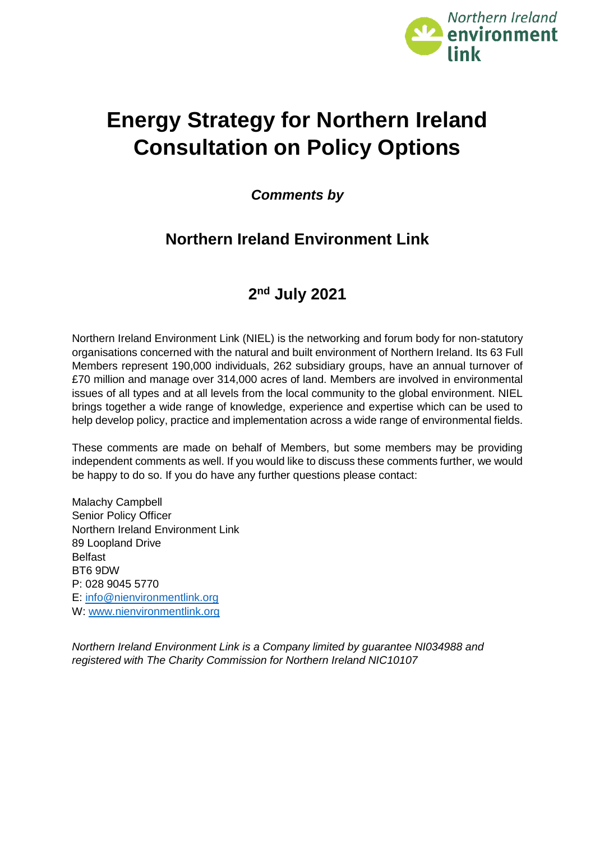

# **Energy Strategy for Northern Ireland Consultation on Policy Options**

*Comments by*

# **Northern Ireland Environment Link**

# **2 nd July 2021**

Northern Ireland Environment Link (NIEL) is the networking and forum body for non‐statutory organisations concerned with the natural and built environment of Northern Ireland. Its 63 Full Members represent 190,000 individuals, 262 subsidiary groups, have an annual turnover of £70 million and manage over 314,000 acres of land. Members are involved in environmental issues of all types and at all levels from the local community to the global environment. NIEL brings together a wide range of knowledge, experience and expertise which can be used to help develop policy, practice and implementation across a wide range of environmental fields.

These comments are made on behalf of Members, but some members may be providing independent comments as well. If you would like to discuss these comments further, we would be happy to do so. If you do have any further questions please contact:

Malachy Campbell Senior Policy Officer Northern Ireland Environment Link 89 Loopland Drive Belfast BT6 9DW P: 028 9045 5770 E: [info@nienvironmentlink.org](mailto:info@nienvironmentlink.org) W: [www.nienvironmentlink.org](http://www.nienvironmentlink.org/)

*Northern Ireland Environment Link is a Company limited by guarantee NI034988 and registered with The Charity Commission for Northern Ireland NIC10107*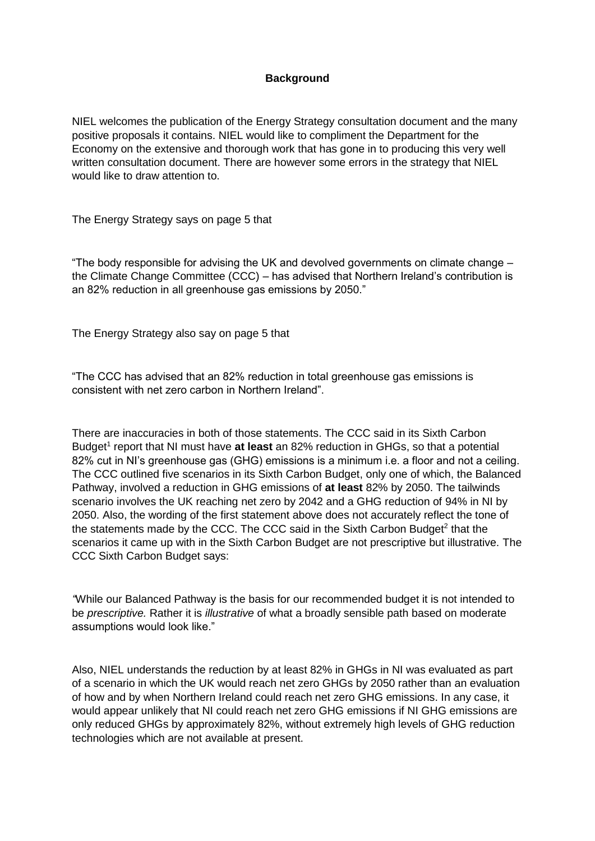# **Background**

NIEL welcomes the publication of the Energy Strategy consultation document and the many positive proposals it contains. NIEL would like to compliment the Department for the Economy on the extensive and thorough work that has gone in to producing this very well written consultation document. There are however some errors in the strategy that NIEL would like to draw attention to.

The Energy Strategy says on page 5 that

"The body responsible for advising the UK and devolved governments on climate change – the Climate Change Committee (CCC) – has advised that Northern Ireland's contribution is an 82% reduction in all greenhouse gas emissions by 2050."

The Energy Strategy also say on page 5 that

"The CCC has advised that an 82% reduction in total greenhouse gas emissions is consistent with net zero carbon in Northern Ireland".

There are inaccuracies in both of those statements. The CCC said in its Sixth Carbon Budget<sup>1</sup> report that NI must have at least an 82% reduction in GHGs, so that a potential 82% cut in NI's greenhouse gas (GHG) emissions is a minimum i.e. a floor and not a ceiling. The CCC outlined five scenarios in its Sixth Carbon Budget, only one of which, the Balanced Pathway, involved a reduction in GHG emissions of **at least** 82% by 2050. The tailwinds scenario involves the UK reaching net zero by 2042 and a GHG reduction of 94% in NI by 2050. Also, the wording of the first statement above does not accurately reflect the tone of the statements made by the CCC. The CCC said in the Sixth Carbon Budget<sup>2</sup> that the scenarios it came up with in the Sixth Carbon Budget are not prescriptive but illustrative. The CCC Sixth Carbon Budget says:

*"*While our Balanced Pathway is the basis for our recommended budget it is not intended to be *prescriptive.* Rather it is *illustrative* of what a broadly sensible path based on moderate assumptions would look like."

Also, NIEL understands the reduction by at least 82% in GHGs in NI was evaluated as part of a scenario in which the UK would reach net zero GHGs by 2050 rather than an evaluation of how and by when Northern Ireland could reach net zero GHG emissions. In any case, it would appear unlikely that NI could reach net zero GHG emissions if NI GHG emissions are only reduced GHGs by approximately 82%, without extremely high levels of GHG reduction technologies which are not available at present.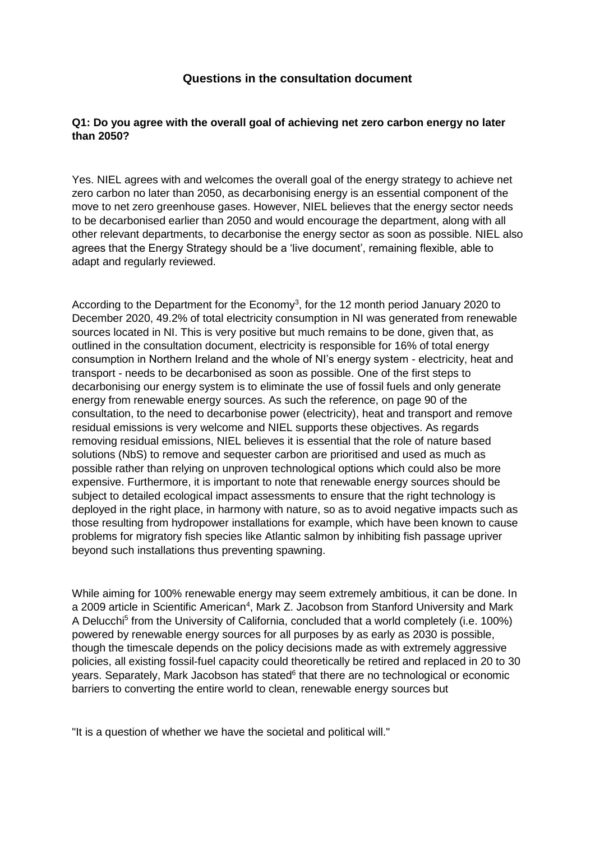# **Questions in the consultation document**

#### **Q1: Do you agree with the overall goal of achieving net zero carbon energy no later than 2050?**

Yes. NIEL agrees with and welcomes the overall goal of the energy strategy to achieve net zero carbon no later than 2050, as decarbonising energy is an essential component of the move to net zero greenhouse gases. However, NIEL believes that the energy sector needs to be decarbonised earlier than 2050 and would encourage the department, along with all other relevant departments, to decarbonise the energy sector as soon as possible. NIEL also agrees that the Energy Strategy should be a 'live document', remaining flexible, able to adapt and regularly reviewed.

According to the Department for the Economy<sup>3</sup>, for the 12 month period January 2020 to December 2020, 49.2% of total electricity consumption in NI was generated from renewable sources located in NI. This is very positive but much remains to be done, given that, as outlined in the consultation document, electricity is responsible for 16% of total energy consumption in Northern Ireland and the whole of NI's energy system - electricity, heat and transport - needs to be decarbonised as soon as possible. One of the first steps to decarbonising our energy system is to eliminate the use of fossil fuels and only generate energy from renewable energy sources. As such the reference, on page 90 of the consultation, to the need to decarbonise power (electricity), heat and transport and remove residual emissions is very welcome and NIEL supports these objectives. As regards removing residual emissions, NIEL believes it is essential that the role of nature based solutions (NbS) to remove and sequester carbon are prioritised and used as much as possible rather than relying on unproven technological options which could also be more expensive. Furthermore, it is important to note that renewable energy sources should be subject to detailed ecological impact assessments to ensure that the right technology is deployed in the right place, in harmony with nature, so as to avoid negative impacts such as those resulting from hydropower installations for example, which have been known to cause problems for migratory fish species like Atlantic salmon by inhibiting fish passage upriver beyond such installations thus preventing spawning.

While aiming for 100% renewable energy may seem extremely ambitious, it can be done. In a 2009 article in Scientific American<sup>4</sup>, Mark Z. Jacobson from Stanford University and Mark A Delucchi<sup>5</sup> from the University of California, concluded that a world completely (i.e. 100%) powered by renewable energy sources for all purposes by as early as 2030 is possible, though the timescale depends on the policy decisions made as with extremely aggressive policies, all existing fossil-fuel capacity could theoretically be retired and replaced in 20 to 30 years. Separately, Mark Jacobson has stated<sup>6</sup> that there are no technological or economic barriers to converting the entire world to clean, renewable energy sources but

"It is a question of whether we have the societal and political will."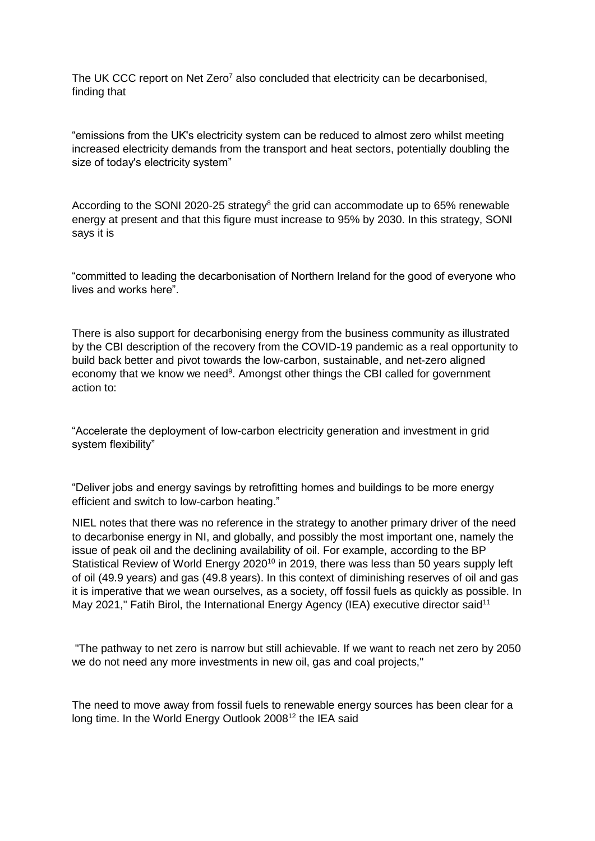The UK CCC report on Net Zero<sup>7</sup> also concluded that electricity can be decarbonised, finding that

"emissions from the UK's electricity system can be reduced to almost zero whilst meeting increased electricity demands from the transport and heat sectors, potentially doubling the size of today's electricity system"

According to the SONI 2020-25 strategy<sup>8</sup> the grid can accommodate up to 65% renewable energy at present and that this figure must increase to 95% by 2030. In this strategy, SONI says it is

"committed to leading the decarbonisation of Northern Ireland for the good of everyone who lives and works here"

There is also support for decarbonising energy from the business community as illustrated by the CBI description of the recovery from the COVID-19 pandemic as a real opportunity to build back better and pivot towards the low-carbon, sustainable, and net-zero aligned economy that we know we need<sup>9</sup>. Amongst other things the CBI called for government action to:

"Accelerate the deployment of low-carbon electricity generation and investment in grid system flexibility"

"Deliver jobs and energy savings by retrofitting homes and buildings to be more energy efficient and switch to low-carbon heating."

NIEL notes that there was no reference in the strategy to another primary driver of the need to decarbonise energy in NI, and globally, and possibly the most important one, namely the issue of peak oil and the declining availability of oil. For example, according to the BP Statistical Review of World Energy 2020<sup>10</sup> in 2019, there was less than 50 years supply left of oil (49.9 years) and gas (49.8 years). In this context of diminishing reserves of oil and gas it is imperative that we wean ourselves, as a society, off fossil fuels as quickly as possible. In May 2021," Fatih Birol, the International Energy Agency (IEA) executive director said<sup>11</sup>

"The pathway to net zero is narrow but still achievable. If we want to reach net zero by 2050 we do not need any more investments in new oil, gas and coal projects,"

The need to move away from fossil fuels to renewable energy sources has been clear for a long time. In the World Energy Outlook 2008<sup>12</sup> the IEA said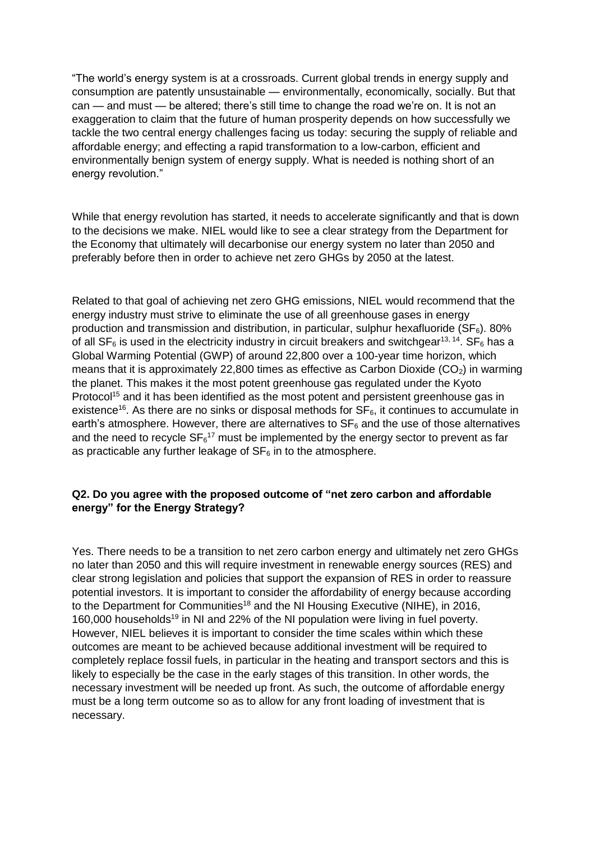"The world's energy system is at a crossroads. Current global trends in energy supply and consumption are patently unsustainable — environmentally, economically, socially. But that can — and must — be altered; there's still time to change the road we're on. It is not an exaggeration to claim that the future of human prosperity depends on how successfully we tackle the two central energy challenges facing us today: securing the supply of reliable and affordable energy; and effecting a rapid transformation to a low-carbon, efficient and environmentally benign system of energy supply. What is needed is nothing short of an energy revolution."

While that energy revolution has started, it needs to accelerate significantly and that is down to the decisions we make. NIEL would like to see a clear strategy from the Department for the Economy that ultimately will decarbonise our energy system no later than 2050 and preferably before then in order to achieve net zero GHGs by 2050 at the latest.

Related to that goal of achieving net zero GHG emissions, NIEL would recommend that the energy industry must strive to eliminate the use of all greenhouse gases in energy production and transmission and distribution, in particular, sulphur hexafluoride ( $SF<sub>6</sub>$ ). 80% of all  $SF<sub>6</sub>$  is used in the electricity industry in circuit breakers and switchgear<sup>13, 14</sup>. SF<sub>6</sub> has a Global Warming Potential (GWP) of around 22,800 over a 100-year time horizon, which means that it is approximately 22,800 times as effective as Carbon Dioxide  $(CO<sub>2</sub>)$  in warming the planet. This makes it the most potent greenhouse gas regulated under the Kyoto Protocol<sup>15</sup> and it has been identified as the most potent and persistent greenhouse gas in existence<sup>16</sup>. As there are no sinks or disposal methods for  $SF<sub>6</sub>$ , it continues to accumulate in earth's atmosphere. However, there are alternatives to  $SF<sub>6</sub>$  and the use of those alternatives and the need to recycle  $SF<sub>6</sub><sup>17</sup>$  must be implemented by the energy sector to prevent as far as practicable any further leakage of  $SF<sub>6</sub>$  in to the atmosphere.

#### **Q2. Do you agree with the proposed outcome of "net zero carbon and affordable energy" for the Energy Strategy?**

Yes. There needs to be a transition to net zero carbon energy and ultimately net zero GHGs no later than 2050 and this will require investment in renewable energy sources (RES) and clear strong legislation and policies that support the expansion of RES in order to reassure potential investors. It is important to consider the affordability of energy because according to the Department for Communities<sup>18</sup> and the NI Housing Executive (NIHE), in 2016, 160,000 households<sup>19</sup> in NI and 22% of the NI population were living in fuel poverty. However, NIEL believes it is important to consider the time scales within which these outcomes are meant to be achieved because additional investment will be required to completely replace fossil fuels, in particular in the heating and transport sectors and this is likely to especially be the case in the early stages of this transition. In other words, the necessary investment will be needed up front. As such, the outcome of affordable energy must be a long term outcome so as to allow for any front loading of investment that is necessary.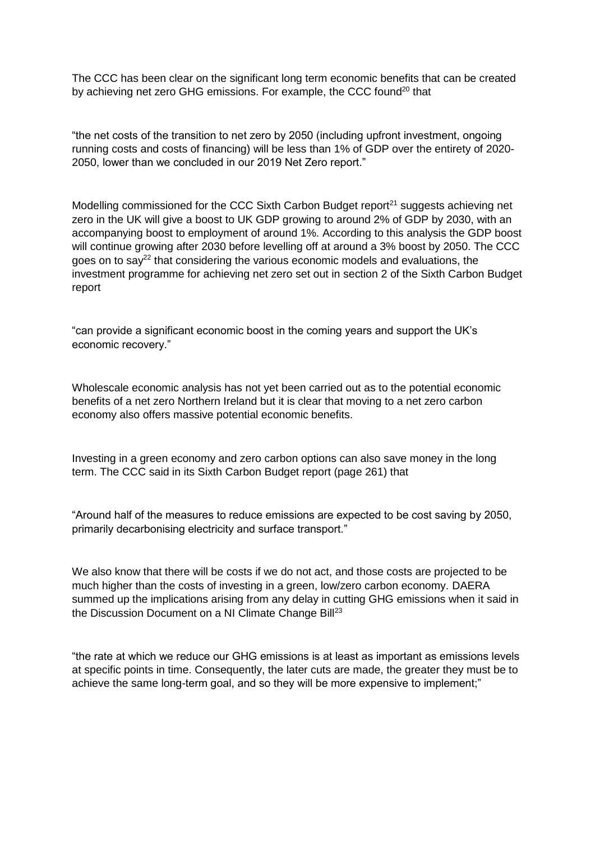The CCC has been clear on the significant long term economic benefits that can be created by achieving net zero GHG emissions. For example, the CCC found<sup>20</sup> that

"the net costs of the transition to net zero by 2050 (including upfront investment, ongoing running costs and costs of financing) will be less than 1% of GDP over the entirety of 2020- 2050, lower than we concluded in our 2019 Net Zero report."

Modelling commissioned for the CCC Sixth Carbon Budget report $21$  suggests achieving net zero in the UK will give a boost to UK GDP growing to around 2% of GDP by 2030, with an accompanying boost to employment of around 1%. According to this analysis the GDP boost will continue growing after 2030 before levelling off at around a 3% boost by 2050. The CCC goes on to say<sup>22</sup> that considering the various economic models and evaluations, the investment programme for achieving net zero set out in section 2 of the Sixth Carbon Budget report

"can provide a significant economic boost in the coming years and support the UK's economic recovery."

Wholescale economic analysis has not yet been carried out as to the potential economic benefits of a net zero Northern Ireland but it is clear that moving to a net zero carbon economy also offers massive potential economic benefits.

Investing in a green economy and zero carbon options can also save money in the long term. The CCC said in its Sixth Carbon Budget report (page 261) that

"Around half of the measures to reduce emissions are expected to be cost saving by 2050, primarily decarbonising electricity and surface transport."

We also know that there will be costs if we do not act, and those costs are projected to be much higher than the costs of investing in a green, low/zero carbon economy. DAERA summed up the implications arising from any delay in cutting GHG emissions when it said in the Discussion Document on a NI Climate Change Bill<sup>23</sup>

"the rate at which we reduce our GHG emissions is at least as important as emissions levels at specific points in time. Consequently, the later cuts are made, the greater they must be to achieve the same long-term goal, and so they will be more expensive to implement;"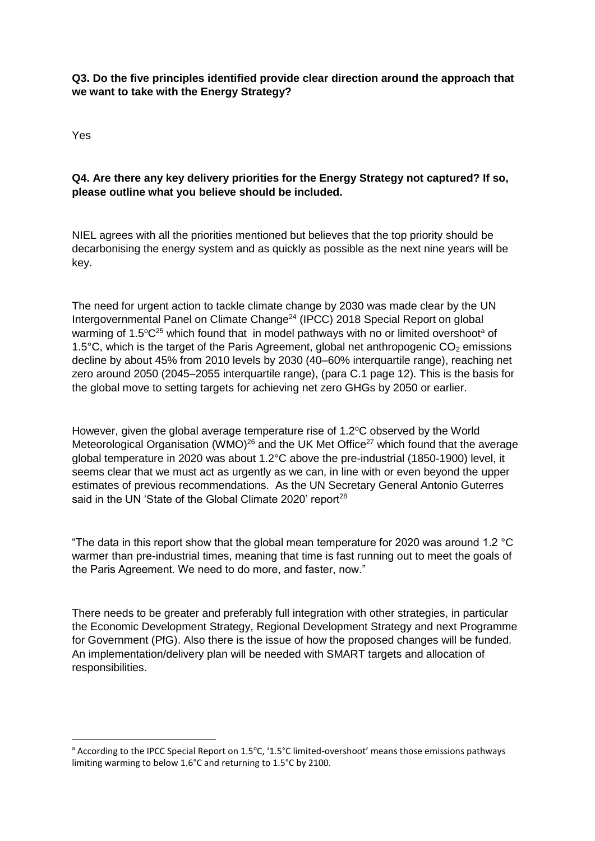# **Q3. Do the five principles identified provide clear direction around the approach that we want to take with the Energy Strategy?**

Yes

**.** 

# **Q4. Are there any key delivery priorities for the Energy Strategy not captured? If so, please outline what you believe should be included.**

NIEL agrees with all the priorities mentioned but believes that the top priority should be decarbonising the energy system and as quickly as possible as the next nine years will be key.

The need for urgent action to tackle climate change by 2030 was made clear by the UN Intergovernmental Panel on Climate Change<sup>24</sup> (IPCC) 2018 Special Report on global warming of 1.5 $^{\circ}$ C<sup>25</sup> which found that in model pathways with no or limited overshoot<sup>a</sup> of 1.5 $^{\circ}$ C, which is the target of the Paris Agreement, global net anthropogenic CO<sub>2</sub> emissions decline by about 45% from 2010 levels by 2030 (40–60% interquartile range), reaching net zero around 2050 (2045–2055 interquartile range), (para C.1 page 12). This is the basis for the global move to setting targets for achieving net zero GHGs by 2050 or earlier.

However, given the global average temperature rise of  $1.2^{\circ}$ C observed by the World Meteorological Organisation (WMO)<sup>26</sup> and the UK Met Office<sup>27</sup> which found that the average global temperature in 2020 was about 1.2°C above the pre-industrial (1850-1900) level, it seems clear that we must act as urgently as we can, in line with or even beyond the upper estimates of previous recommendations. As the UN Secretary General Antonio Guterres said in the UN 'State of the Global Climate 2020' report<sup>28</sup>

"The data in this report show that the global mean temperature for 2020 was around 1.2 °C warmer than pre-industrial times, meaning that time is fast running out to meet the goals of the Paris Agreement. We need to do more, and faster, now."

There needs to be greater and preferably full integration with other strategies, in particular the Economic Development Strategy, Regional Development Strategy and next Programme for Government (PfG). Also there is the issue of how the proposed changes will be funded. An implementation/delivery plan will be needed with SMART targets and allocation of responsibilities.

a According to the IPCC Special Report on 1.5°C, '1.5°C limited-overshoot' means those emissions pathways limiting warming to below 1.6°C and returning to 1.5°C by 2100.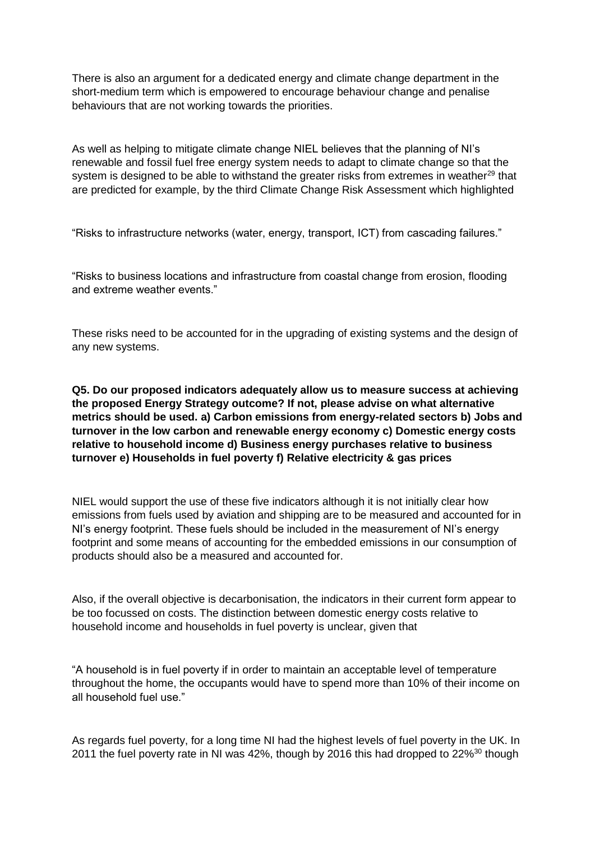There is also an argument for a dedicated energy and climate change department in the short-medium term which is empowered to encourage behaviour change and penalise behaviours that are not working towards the priorities.

As well as helping to mitigate climate change NIEL believes that the planning of NI's renewable and fossil fuel free energy system needs to adapt to climate change so that the system is designed to be able to withstand the greater risks from extremes in weather<sup>29</sup> that are predicted for example, by the third Climate Change Risk Assessment which highlighted

"Risks to infrastructure networks (water, energy, transport, ICT) from cascading failures."

"Risks to business locations and infrastructure from coastal change from erosion, flooding and extreme weather events."

These risks need to be accounted for in the upgrading of existing systems and the design of any new systems.

**Q5. Do our proposed indicators adequately allow us to measure success at achieving the proposed Energy Strategy outcome? If not, please advise on what alternative metrics should be used. a) Carbon emissions from energy-related sectors b) Jobs and turnover in the low carbon and renewable energy economy c) Domestic energy costs relative to household income d) Business energy purchases relative to business turnover e) Households in fuel poverty f) Relative electricity & gas prices** 

NIEL would support the use of these five indicators although it is not initially clear how emissions from fuels used by aviation and shipping are to be measured and accounted for in NI's energy footprint. These fuels should be included in the measurement of NI's energy footprint and some means of accounting for the embedded emissions in our consumption of products should also be a measured and accounted for.

Also, if the overall objective is decarbonisation, the indicators in their current form appear to be too focussed on costs. The distinction between domestic energy costs relative to household income and households in fuel poverty is unclear, given that

"A household is in fuel poverty if in order to maintain an acceptable level of temperature throughout the home, the occupants would have to spend more than 10% of their income on all household fuel use."

As regards fuel poverty, for a long time NI had the highest levels of fuel poverty in the UK. In 2011 the fuel poverty rate in NI was 42%, though by 2016 this had dropped to 22%<sup>30</sup> though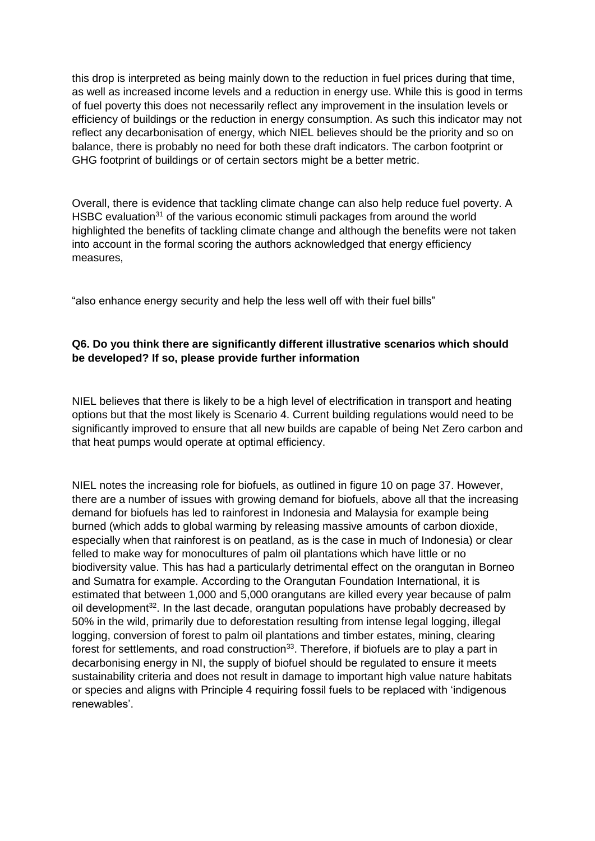this drop is interpreted as being mainly down to the reduction in fuel prices during that time, as well as increased income levels and a reduction in energy use. While this is good in terms of fuel poverty this does not necessarily reflect any improvement in the insulation levels or efficiency of buildings or the reduction in energy consumption. As such this indicator may not reflect any decarbonisation of energy, which NIEL believes should be the priority and so on balance, there is probably no need for both these draft indicators. The carbon footprint or GHG footprint of buildings or of certain sectors might be a better metric.

Overall, there is evidence that tackling climate change can also help reduce fuel poverty. A HSBC evaluation<sup>31</sup> of the various economic stimuli packages from around the world highlighted the benefits of tackling climate change and although the benefits were not taken into account in the formal scoring the authors acknowledged that energy efficiency measures,

"also enhance energy security and help the less well off with their fuel bills"

# **Q6. Do you think there are significantly different illustrative scenarios which should be developed? If so, please provide further information**

NIEL believes that there is likely to be a high level of electrification in transport and heating options but that the most likely is Scenario 4. Current building regulations would need to be significantly improved to ensure that all new builds are capable of being Net Zero carbon and that heat pumps would operate at optimal efficiency.

NIEL notes the increasing role for biofuels, as outlined in figure 10 on page 37. However, there are a number of issues with growing demand for biofuels, above all that the increasing demand for biofuels has led to rainforest in Indonesia and Malaysia for example being burned (which adds to global warming by releasing massive amounts of carbon dioxide, especially when that rainforest is on peatland, as is the case in much of Indonesia) or clear felled to make way for monocultures of palm oil plantations which have little or no biodiversity value. This has had a particularly detrimental effect on the orangutan in Borneo and Sumatra for example. According to the Orangutan Foundation International, it is estimated that between 1,000 and 5,000 orangutans are killed every year because of palm oil development<sup>32</sup>. In the last decade, orangutan populations have probably decreased by 50% in the wild, primarily due to deforestation resulting from intense legal logging, illegal logging, conversion of forest to palm oil plantations and timber estates, mining, clearing forest for settlements, and road construction<sup>33</sup>. Therefore, if biofuels are to play a part in decarbonising energy in NI, the supply of biofuel should be regulated to ensure it meets sustainability criteria and does not result in damage to important high value nature habitats or species and aligns with Principle 4 requiring fossil fuels to be replaced with 'indigenous renewables'.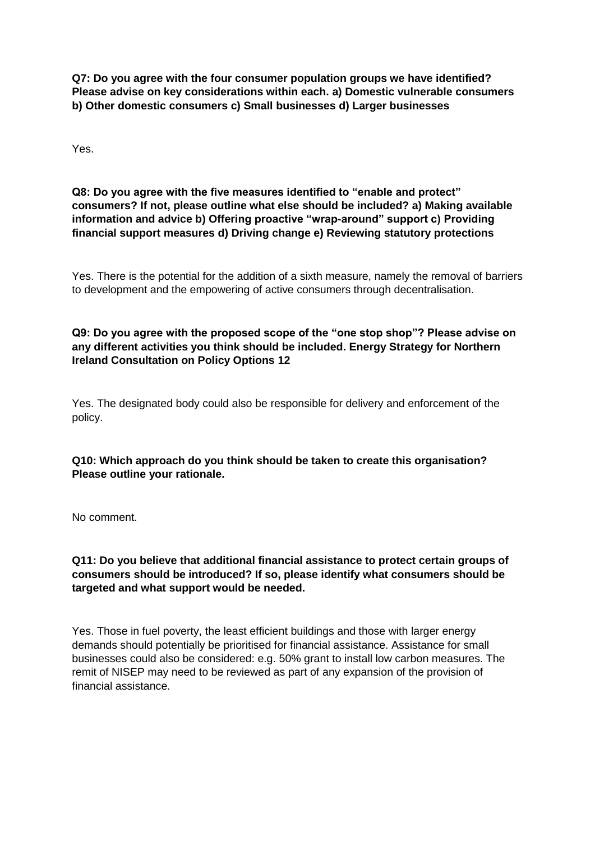**Q7: Do you agree with the four consumer population groups we have identified? Please advise on key considerations within each. a) Domestic vulnerable consumers b) Other domestic consumers c) Small businesses d) Larger businesses** 

Yes.

**Q8: Do you agree with the five measures identified to "enable and protect" consumers? If not, please outline what else should be included? a) Making available information and advice b) Offering proactive "wrap-around" support c) Providing financial support measures d) Driving change e) Reviewing statutory protections** 

Yes. There is the potential for the addition of a sixth measure, namely the removal of barriers to development and the empowering of active consumers through decentralisation.

**Q9: Do you agree with the proposed scope of the "one stop shop"? Please advise on any different activities you think should be included. Energy Strategy for Northern Ireland Consultation on Policy Options 12** 

Yes. The designated body could also be responsible for delivery and enforcement of the policy.

**Q10: Which approach do you think should be taken to create this organisation? Please outline your rationale.**

No comment.

**Q11: Do you believe that additional financial assistance to protect certain groups of consumers should be introduced? If so, please identify what consumers should be targeted and what support would be needed.** 

Yes. Those in fuel poverty, the least efficient buildings and those with larger energy demands should potentially be prioritised for financial assistance. Assistance for small businesses could also be considered: e.g. 50% grant to install low carbon measures. The remit of NISEP may need to be reviewed as part of any expansion of the provision of financial assistance.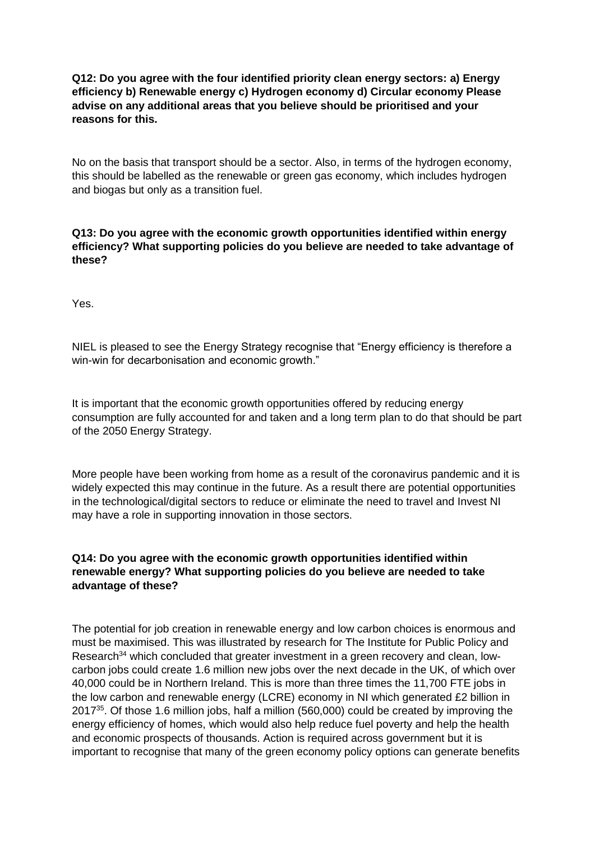# **Q12: Do you agree with the four identified priority clean energy sectors: a) Energy efficiency b) Renewable energy c) Hydrogen economy d) Circular economy Please advise on any additional areas that you believe should be prioritised and your reasons for this.**

No on the basis that transport should be a sector. Also, in terms of the hydrogen economy, this should be labelled as the renewable or green gas economy, which includes hydrogen and biogas but only as a transition fuel.

**Q13: Do you agree with the economic growth opportunities identified within energy efficiency? What supporting policies do you believe are needed to take advantage of these?** 

Yes.

NIEL is pleased to see the Energy Strategy recognise that "Energy efficiency is therefore a win-win for decarbonisation and economic growth."

It is important that the economic growth opportunities offered by reducing energy consumption are fully accounted for and taken and a long term plan to do that should be part of the 2050 Energy Strategy.

More people have been working from home as a result of the coronavirus pandemic and it is widely expected this may continue in the future. As a result there are potential opportunities in the technological/digital sectors to reduce or eliminate the need to travel and Invest NI may have a role in supporting innovation in those sectors.

### **Q14: Do you agree with the economic growth opportunities identified within renewable energy? What supporting policies do you believe are needed to take advantage of these?**

The potential for job creation in renewable energy and low carbon choices is enormous and must be maximised. This was illustrated by research for The Institute for Public Policy and Research<sup>34</sup> which concluded that greater investment in a green recovery and clean, lowcarbon jobs could create 1.6 million new jobs over the next decade in the UK, of which over 40,000 could be in Northern Ireland. This is more than three times the 11,700 FTE jobs in the low carbon and renewable energy (LCRE) economy in NI which generated £2 billion in 2017<sup>35</sup>. Of those 1.6 million jobs, half a million (560,000) could be created by improving the energy efficiency of homes, which would also help reduce fuel poverty and help the health and economic prospects of thousands. Action is required across government but it is important to recognise that many of the green economy policy options can generate benefits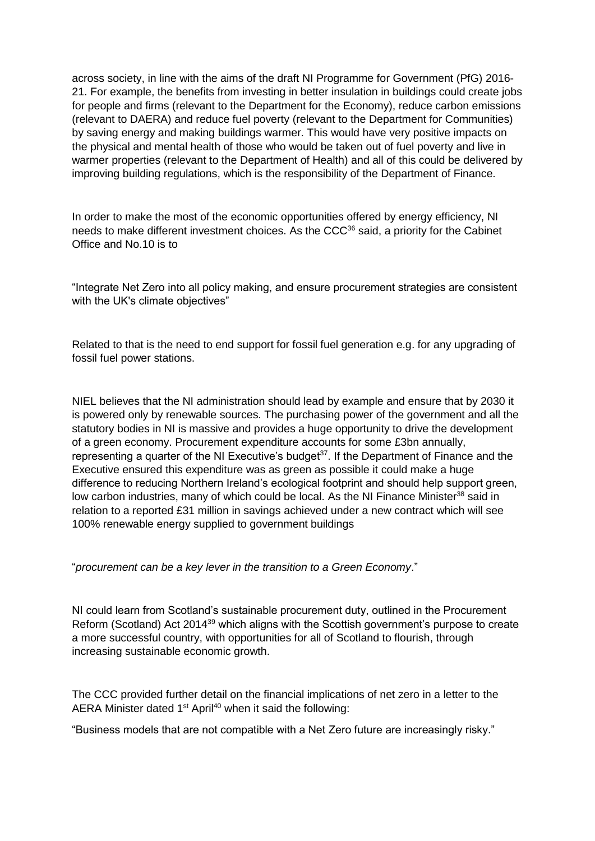across society, in line with the aims of the draft NI Programme for Government (PfG) 2016- 21. For example, the benefits from investing in better insulation in buildings could create jobs for people and firms (relevant to the Department for the Economy), reduce carbon emissions (relevant to DAERA) and reduce fuel poverty (relevant to the Department for Communities) by saving energy and making buildings warmer. This would have very positive impacts on the physical and mental health of those who would be taken out of fuel poverty and live in warmer properties (relevant to the Department of Health) and all of this could be delivered by improving building regulations, which is the responsibility of the Department of Finance.

In order to make the most of the economic opportunities offered by energy efficiency, NI needs to make different investment choices. As the CCC<sup>36</sup> said, a priority for the Cabinet Office and No.10 is to

"Integrate Net Zero into all policy making, and ensure procurement strategies are consistent with the UK's climate objectives"

Related to that is the need to end support for fossil fuel generation e.g. for any upgrading of fossil fuel power stations.

NIEL believes that the NI administration should lead by example and ensure that by 2030 it is powered only by renewable sources. The purchasing power of the government and all the statutory bodies in NI is massive and provides a huge opportunity to drive the development of a green economy. Procurement expenditure accounts for some £3bn annually, representing a quarter of the NI Executive's budget<sup>37</sup>. If the Department of Finance and the Executive ensured this expenditure was as green as possible it could make a huge difference to reducing Northern Ireland's ecological footprint and should help support green, low carbon industries, many of which could be local. As the NI Finance Minister<sup>38</sup> said in relation to a reported £31 million in savings achieved under a new contract which will see 100% renewable energy supplied to government buildings

"*procurement can be a key lever in the transition to a Green Economy*."

NI could learn from Scotland's sustainable procurement duty, outlined in the Procurement Reform (Scotland) Act 2014<sup>39</sup> which aligns with the Scottish government's purpose to create a more successful country, with opportunities for all of Scotland to flourish, through increasing sustainable economic growth.

The CCC provided further detail on the financial implications of net zero in a letter to the AERA Minister dated 1<sup>st</sup> April<sup>40</sup> when it said the following:

"Business models that are not compatible with a Net Zero future are increasingly risky."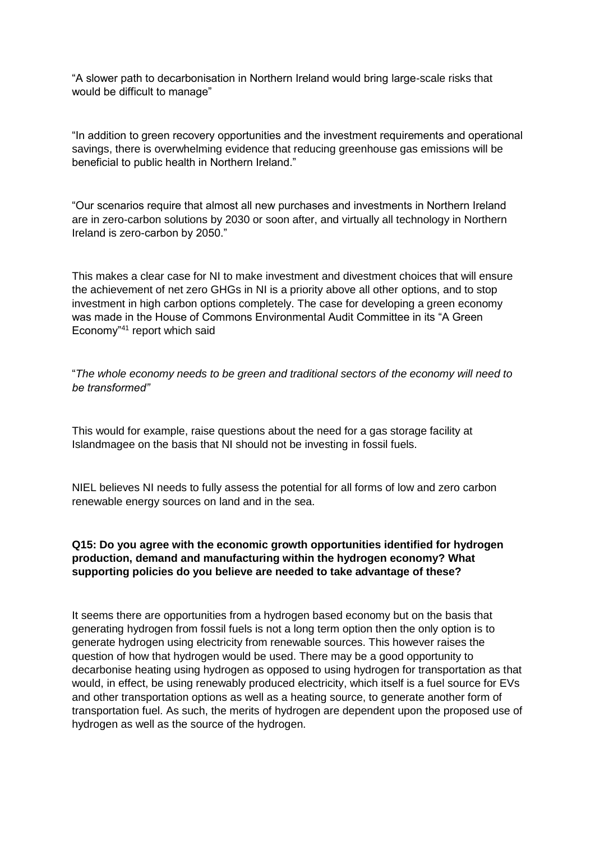"A slower path to decarbonisation in Northern Ireland would bring large-scale risks that would be difficult to manage"

"In addition to green recovery opportunities and the investment requirements and operational savings, there is overwhelming evidence that reducing greenhouse gas emissions will be beneficial to public health in Northern Ireland."

"Our scenarios require that almost all new purchases and investments in Northern Ireland are in zero-carbon solutions by 2030 or soon after, and virtually all technology in Northern Ireland is zero-carbon by 2050."

This makes a clear case for NI to make investment and divestment choices that will ensure the achievement of net zero GHGs in NI is a priority above all other options, and to stop investment in high carbon options completely. The case for developing a green economy was made in the House of Commons Environmental Audit Committee in its "A Green Economy"<sup>41</sup> report which said

"*The whole economy needs to be green and traditional sectors of the economy will need to be transformed"*

This would for example, raise questions about the need for a gas storage facility at Islandmagee on the basis that NI should not be investing in fossil fuels.

NIEL believes NI needs to fully assess the potential for all forms of low and zero carbon renewable energy sources on land and in the sea.

# **Q15: Do you agree with the economic growth opportunities identified for hydrogen production, demand and manufacturing within the hydrogen economy? What supporting policies do you believe are needed to take advantage of these?**

It seems there are opportunities from a hydrogen based economy but on the basis that generating hydrogen from fossil fuels is not a long term option then the only option is to generate hydrogen using electricity from renewable sources. This however raises the question of how that hydrogen would be used. There may be a good opportunity to decarbonise heating using hydrogen as opposed to using hydrogen for transportation as that would, in effect, be using renewably produced electricity, which itself is a fuel source for EVs and other transportation options as well as a heating source, to generate another form of transportation fuel. As such, the merits of hydrogen are dependent upon the proposed use of hydrogen as well as the source of the hydrogen.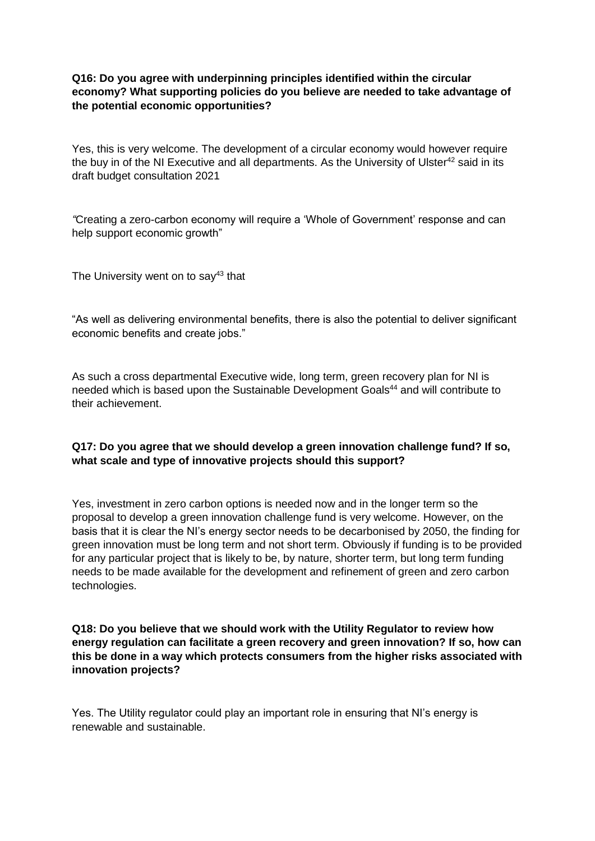# **Q16: Do you agree with underpinning principles identified within the circular economy? What supporting policies do you believe are needed to take advantage of the potential economic opportunities?**

Yes, this is very welcome. The development of a circular economy would however require the buy in of the NI Executive and all departments. As the University of Ulster $42$  said in its draft budget consultation 2021

*"*Creating a zero-carbon economy will require a 'Whole of Government' response and can help support economic growth"

The University went on to say $43$  that

"As well as delivering environmental benefits, there is also the potential to deliver significant economic benefits and create jobs."

As such a cross departmental Executive wide, long term, green recovery plan for NI is needed which is based upon the Sustainable Development Goals<sup>44</sup> and will contribute to their achievement.

# **Q17: Do you agree that we should develop a green innovation challenge fund? If so, what scale and type of innovative projects should this support?**

Yes, investment in zero carbon options is needed now and in the longer term so the proposal to develop a green innovation challenge fund is very welcome. However, on the basis that it is clear the NI's energy sector needs to be decarbonised by 2050, the finding for green innovation must be long term and not short term. Obviously if funding is to be provided for any particular project that is likely to be, by nature, shorter term, but long term funding needs to be made available for the development and refinement of green and zero carbon technologies.

**Q18: Do you believe that we should work with the Utility Regulator to review how energy regulation can facilitate a green recovery and green innovation? If so, how can this be done in a way which protects consumers from the higher risks associated with innovation projects?** 

Yes. The Utility regulator could play an important role in ensuring that NI's energy is renewable and sustainable.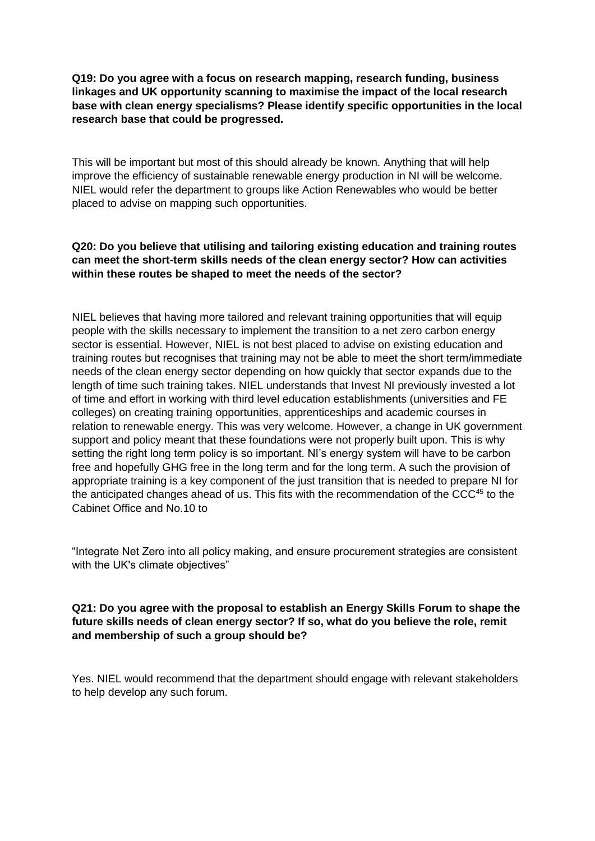**Q19: Do you agree with a focus on research mapping, research funding, business linkages and UK opportunity scanning to maximise the impact of the local research base with clean energy specialisms? Please identify specific opportunities in the local research base that could be progressed.** 

This will be important but most of this should already be known. Anything that will help improve the efficiency of sustainable renewable energy production in NI will be welcome. NIEL would refer the department to groups like Action Renewables who would be better placed to advise on mapping such opportunities.

# **Q20: Do you believe that utilising and tailoring existing education and training routes can meet the short-term skills needs of the clean energy sector? How can activities within these routes be shaped to meet the needs of the sector?**

NIEL believes that having more tailored and relevant training opportunities that will equip people with the skills necessary to implement the transition to a net zero carbon energy sector is essential. However, NIEL is not best placed to advise on existing education and training routes but recognises that training may not be able to meet the short term/immediate needs of the clean energy sector depending on how quickly that sector expands due to the length of time such training takes. NIEL understands that Invest NI previously invested a lot of time and effort in working with third level education establishments (universities and FE colleges) on creating training opportunities, apprenticeships and academic courses in relation to renewable energy. This was very welcome. However, a change in UK government support and policy meant that these foundations were not properly built upon. This is why setting the right long term policy is so important. NI's energy system will have to be carbon free and hopefully GHG free in the long term and for the long term. A such the provision of appropriate training is a key component of the just transition that is needed to prepare NI for the anticipated changes ahead of us. This fits with the recommendation of the CCC<sup>45</sup> to the Cabinet Office and No.10 to

"Integrate Net Zero into all policy making, and ensure procurement strategies are consistent with the UK's climate objectives"

# **Q21: Do you agree with the proposal to establish an Energy Skills Forum to shape the future skills needs of clean energy sector? If so, what do you believe the role, remit and membership of such a group should be?**

Yes. NIEL would recommend that the department should engage with relevant stakeholders to help develop any such forum.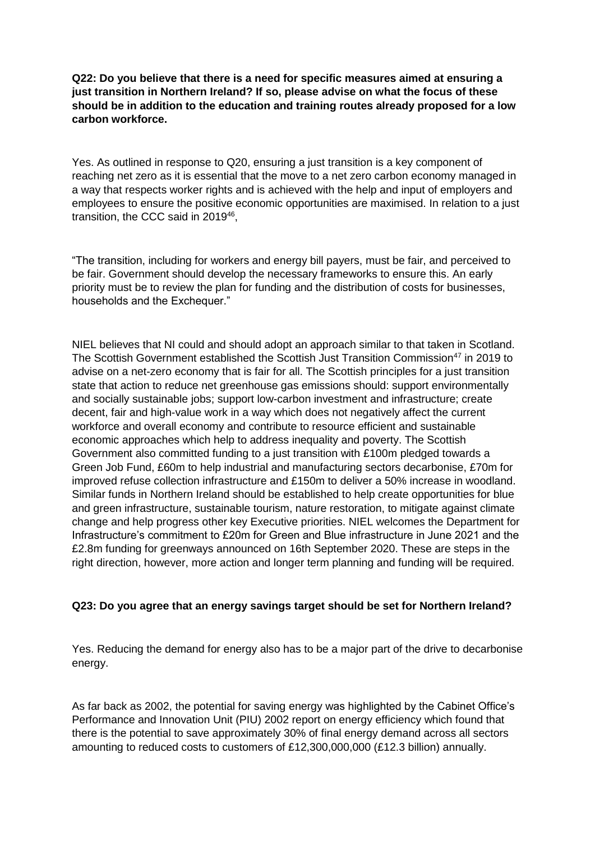# **Q22: Do you believe that there is a need for specific measures aimed at ensuring a just transition in Northern Ireland? If so, please advise on what the focus of these should be in addition to the education and training routes already proposed for a low carbon workforce.**

Yes. As outlined in response to Q20, ensuring a just transition is a key component of reaching net zero as it is essential that the move to a net zero carbon economy managed in a way that respects worker rights and is achieved with the help and input of employers and employees to ensure the positive economic opportunities are maximised. In relation to a just transition, the CCC said in 2019<sup>46</sup>,

"The transition, including for workers and energy bill payers, must be fair, and perceived to be fair. Government should develop the necessary frameworks to ensure this. An early priority must be to review the plan for funding and the distribution of costs for businesses, households and the Exchequer."

NIEL believes that NI could and should adopt an approach similar to that taken in Scotland. The Scottish Government established the Scottish Just Transition Commission<sup>47</sup> in 2019 to advise on a net-zero economy that is fair for all. The Scottish principles for a just transition state that action to reduce net greenhouse gas emissions should: support environmentally and socially sustainable jobs; support low-carbon investment and infrastructure; create decent, fair and high-value work in a way which does not negatively affect the current workforce and overall economy and contribute to resource efficient and sustainable economic approaches which help to address inequality and poverty. The Scottish Government also committed funding to a just transition with £100m pledged towards a Green Job Fund, £60m to help industrial and manufacturing sectors decarbonise, £70m for improved refuse collection infrastructure and £150m to deliver a 50% increase in woodland. Similar funds in Northern Ireland should be established to help create opportunities for blue and green infrastructure, sustainable tourism, nature restoration, to mitigate against climate change and help progress other key Executive priorities. NIEL welcomes the Department for Infrastructure's commitment to £20m for Green and Blue infrastructure in June 2021 and the £2.8m funding for greenways announced on 16th September 2020. These are steps in the right direction, however, more action and longer term planning and funding will be required.

# **Q23: Do you agree that an energy savings target should be set for Northern Ireland?**

Yes. Reducing the demand for energy also has to be a major part of the drive to decarbonise energy.

As far back as 2002, the potential for saving energy was highlighted by the Cabinet Office's Performance and Innovation Unit (PIU) 2002 report on energy efficiency which found that there is the potential to save approximately 30% of final energy demand across all sectors amounting to reduced costs to customers of £12,300,000,000 (£12.3 billion) annually.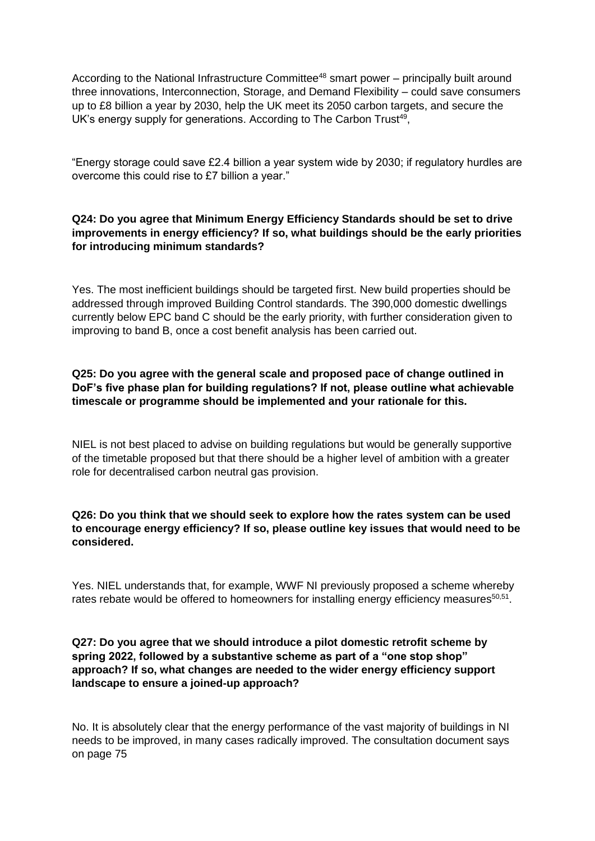According to the National Infrastructure Committee<sup>48</sup> smart power – principally built around three innovations, Interconnection, Storage, and Demand Flexibility – could save consumers up to £8 billion a year by 2030, help the UK meet its 2050 carbon targets, and secure the UK's energy supply for generations. According to The Carbon Trust<sup>49</sup>,

"Energy storage could save £2.4 billion a year system wide by 2030; if regulatory hurdles are overcome this could rise to £7 billion a year."

# **Q24: Do you agree that Minimum Energy Efficiency Standards should be set to drive improvements in energy efficiency? If so, what buildings should be the early priorities for introducing minimum standards?**

Yes. The most inefficient buildings should be targeted first. New build properties should be addressed through improved Building Control standards. The 390,000 domestic dwellings currently below EPC band C should be the early priority, with further consideration given to improving to band B, once a cost benefit analysis has been carried out.

# **Q25: Do you agree with the general scale and proposed pace of change outlined in DoF's five phase plan for building regulations? If not, please outline what achievable timescale or programme should be implemented and your rationale for this.**

NIEL is not best placed to advise on building regulations but would be generally supportive of the timetable proposed but that there should be a higher level of ambition with a greater role for decentralised carbon neutral gas provision.

### **Q26: Do you think that we should seek to explore how the rates system can be used to encourage energy efficiency? If so, please outline key issues that would need to be considered.**

Yes. NIEL understands that, for example, WWF NI previously proposed a scheme whereby rates rebate would be offered to homeowners for installing energy efficiency measures $50,51$ .

# **Q27: Do you agree that we should introduce a pilot domestic retrofit scheme by spring 2022, followed by a substantive scheme as part of a "one stop shop" approach? If so, what changes are needed to the wider energy efficiency support landscape to ensure a joined-up approach?**

No. It is absolutely clear that the energy performance of the vast majority of buildings in NI needs to be improved, in many cases radically improved. The consultation document says on page 75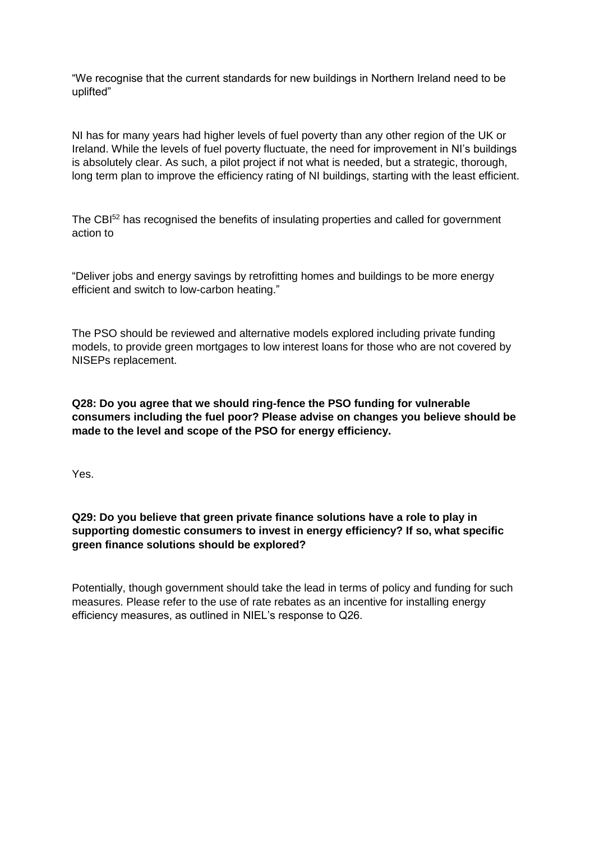"We recognise that the current standards for new buildings in Northern Ireland need to be uplifted"

NI has for many years had higher levels of fuel poverty than any other region of the UK or Ireland. While the levels of fuel poverty fluctuate, the need for improvement in NI's buildings is absolutely clear. As such, a pilot project if not what is needed, but a strategic, thorough, long term plan to improve the efficiency rating of NI buildings, starting with the least efficient.

The CBI<sup>52</sup> has recognised the benefits of insulating properties and called for government action to

"Deliver jobs and energy savings by retrofitting homes and buildings to be more energy efficient and switch to low-carbon heating."

The PSO should be reviewed and alternative models explored including private funding models, to provide green mortgages to low interest loans for those who are not covered by NISEPs replacement.

**Q28: Do you agree that we should ring-fence the PSO funding for vulnerable consumers including the fuel poor? Please advise on changes you believe should be made to the level and scope of the PSO for energy efficiency.** 

Yes.

### **Q29: Do you believe that green private finance solutions have a role to play in supporting domestic consumers to invest in energy efficiency? If so, what specific green finance solutions should be explored?**

Potentially, though government should take the lead in terms of policy and funding for such measures. Please refer to the use of rate rebates as an incentive for installing energy efficiency measures, as outlined in NIEL's response to Q26.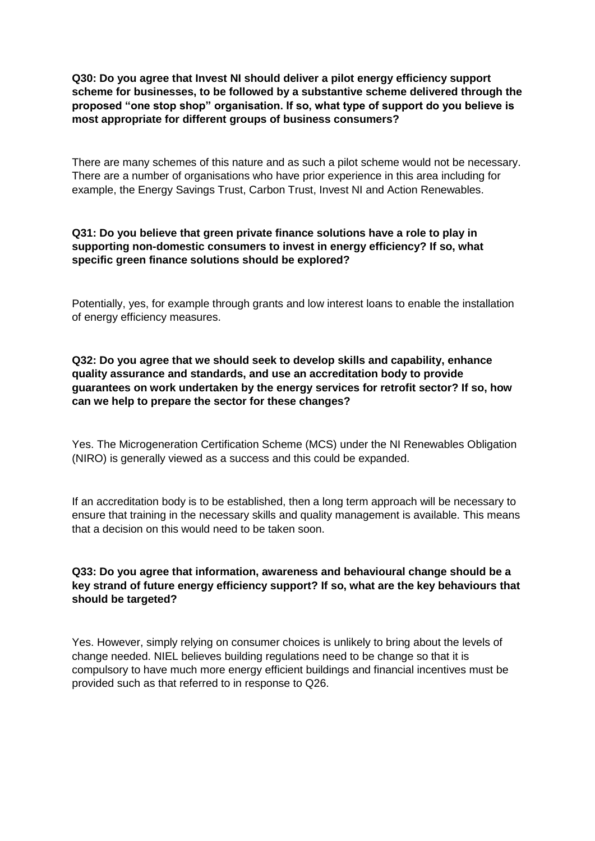**Q30: Do you agree that Invest NI should deliver a pilot energy efficiency support scheme for businesses, to be followed by a substantive scheme delivered through the proposed "one stop shop" organisation. If so, what type of support do you believe is most appropriate for different groups of business consumers?** 

There are many schemes of this nature and as such a pilot scheme would not be necessary. There are a number of organisations who have prior experience in this area including for example, the Energy Savings Trust, Carbon Trust, Invest NI and Action Renewables.

### **Q31: Do you believe that green private finance solutions have a role to play in supporting non-domestic consumers to invest in energy efficiency? If so, what specific green finance solutions should be explored?**

Potentially, yes, for example through grants and low interest loans to enable the installation of energy efficiency measures.

# **Q32: Do you agree that we should seek to develop skills and capability, enhance quality assurance and standards, and use an accreditation body to provide guarantees on work undertaken by the energy services for retrofit sector? If so, how can we help to prepare the sector for these changes?**

Yes. The Microgeneration Certification Scheme (MCS) under the NI Renewables Obligation (NIRO) is generally viewed as a success and this could be expanded.

If an accreditation body is to be established, then a long term approach will be necessary to ensure that training in the necessary skills and quality management is available. This means that a decision on this would need to be taken soon.

### **Q33: Do you agree that information, awareness and behavioural change should be a key strand of future energy efficiency support? If so, what are the key behaviours that should be targeted?**

Yes. However, simply relying on consumer choices is unlikely to bring about the levels of change needed. NIEL believes building regulations need to be change so that it is compulsory to have much more energy efficient buildings and financial incentives must be provided such as that referred to in response to Q26.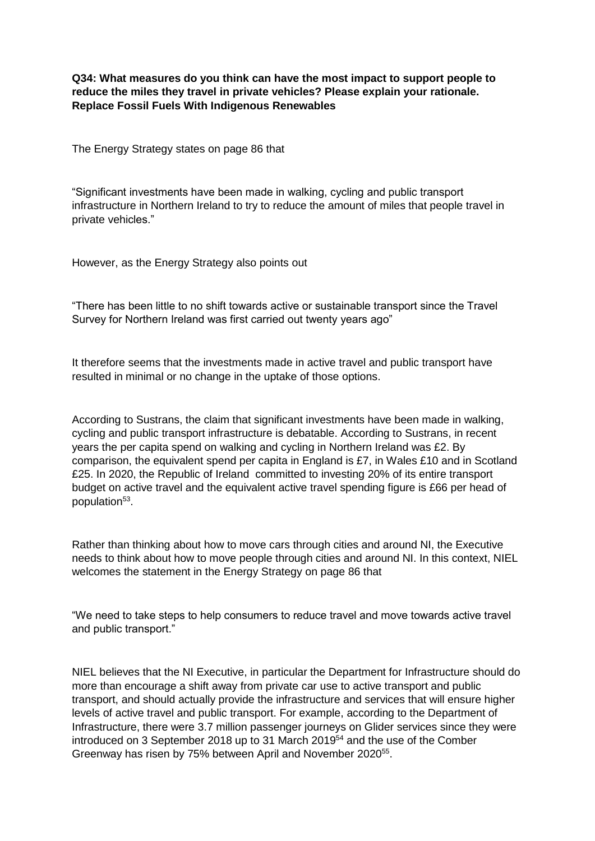**Q34: What measures do you think can have the most impact to support people to reduce the miles they travel in private vehicles? Please explain your rationale. Replace Fossil Fuels With Indigenous Renewables** 

The Energy Strategy states on page 86 that

"Significant investments have been made in walking, cycling and public transport infrastructure in Northern Ireland to try to reduce the amount of miles that people travel in private vehicles."

However, as the Energy Strategy also points out

"There has been little to no shift towards active or sustainable transport since the Travel Survey for Northern Ireland was first carried out twenty years ago"

It therefore seems that the investments made in active travel and public transport have resulted in minimal or no change in the uptake of those options.

According to Sustrans, the claim that significant investments have been made in walking, cycling and public transport infrastructure is debatable. According to Sustrans, in recent years the per capita spend on walking and cycling in Northern Ireland was £2. By comparison, the equivalent spend per capita in England is £7, in Wales £10 and in Scotland £25. In 2020, the Republic of Ireland committed to investing 20% of its entire transport budget on active travel and the equivalent active travel spending figure is £66 per head of population<sup>53</sup>.

Rather than thinking about how to move cars through cities and around NI, the Executive needs to think about how to move people through cities and around NI. In this context, NIEL welcomes the statement in the Energy Strategy on page 86 that

"We need to take steps to help consumers to reduce travel and move towards active travel and public transport."

NIEL believes that the NI Executive, in particular the Department for Infrastructure should do more than encourage a shift away from private car use to active transport and public transport, and should actually provide the infrastructure and services that will ensure higher levels of active travel and public transport. For example, according to the Department of Infrastructure, there were 3.7 million passenger journeys on Glider services since they were introduced on 3 September 2018 up to 31 March 2019<sup>54</sup> and the use of the Comber Greenway has risen by 75% between April and November 2020<sup>55</sup>.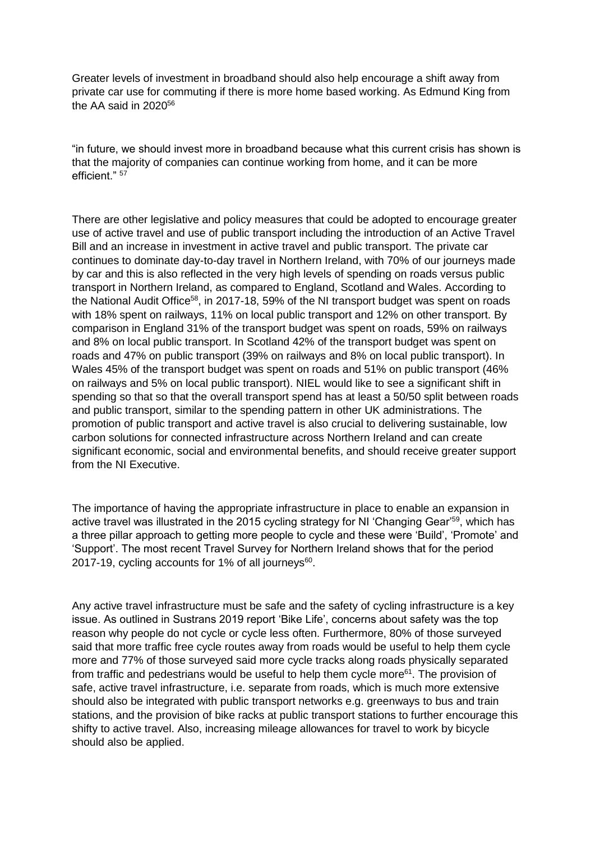Greater levels of investment in broadband should also help encourage a shift away from private car use for commuting if there is more home based working. As Edmund King from the AA said in 2020<sup>56</sup>

"in future, we should invest more in broadband because what this current crisis has shown is that the majority of companies can continue working from home, and it can be more efficient." 57

There are other legislative and policy measures that could be adopted to encourage greater use of active travel and use of public transport including the introduction of an Active Travel Bill and an increase in investment in active travel and public transport. The private car continues to dominate day-to-day travel in Northern Ireland, with 70% of our journeys made by car and this is also reflected in the very high levels of spending on roads versus public transport in Northern Ireland, as compared to England, Scotland and Wales. According to the National Audit Office<sup>58</sup>, in 2017-18, 59% of the NI transport budget was spent on roads with 18% spent on railways, 11% on local public transport and 12% on other transport. By comparison in England 31% of the transport budget was spent on roads, 59% on railways and 8% on local public transport. In Scotland 42% of the transport budget was spent on roads and 47% on public transport (39% on railways and 8% on local public transport). In Wales 45% of the transport budget was spent on roads and 51% on public transport (46% on railways and 5% on local public transport). NIEL would like to see a significant shift in spending so that so that the overall transport spend has at least a 50/50 split between roads and public transport, similar to the spending pattern in other UK administrations. The promotion of public transport and active travel is also crucial to delivering sustainable, low carbon solutions for connected infrastructure across Northern Ireland and can create significant economic, social and environmental benefits, and should receive greater support from the NI Executive.

The importance of having the appropriate infrastructure in place to enable an expansion in active travel was illustrated in the 2015 cycling strategy for NI 'Changing Gear'<sup>59</sup>, which has a three pillar approach to getting more people to cycle and these were 'Build', 'Promote' and 'Support'. The most recent Travel Survey for Northern Ireland shows that for the period 2017-19, cycling accounts for 1% of all journeys $^{60}$ .

Any active travel infrastructure must be safe and the safety of cycling infrastructure is a key issue. As outlined in Sustrans 2019 report 'Bike Life', concerns about safety was the top reason why people do not cycle or cycle less often. Furthermore, 80% of those surveyed said that more traffic free cycle routes away from roads would be useful to help them cycle more and 77% of those surveyed said more cycle tracks along roads physically separated from traffic and pedestrians would be useful to help them cycle more $61$ . The provision of safe, active travel infrastructure, i.e. separate from roads, which is much more extensive should also be integrated with public transport networks e.g. greenways to bus and train stations, and the provision of bike racks at public transport stations to further encourage this shifty to active travel. Also, increasing mileage allowances for travel to work by bicycle should also be applied.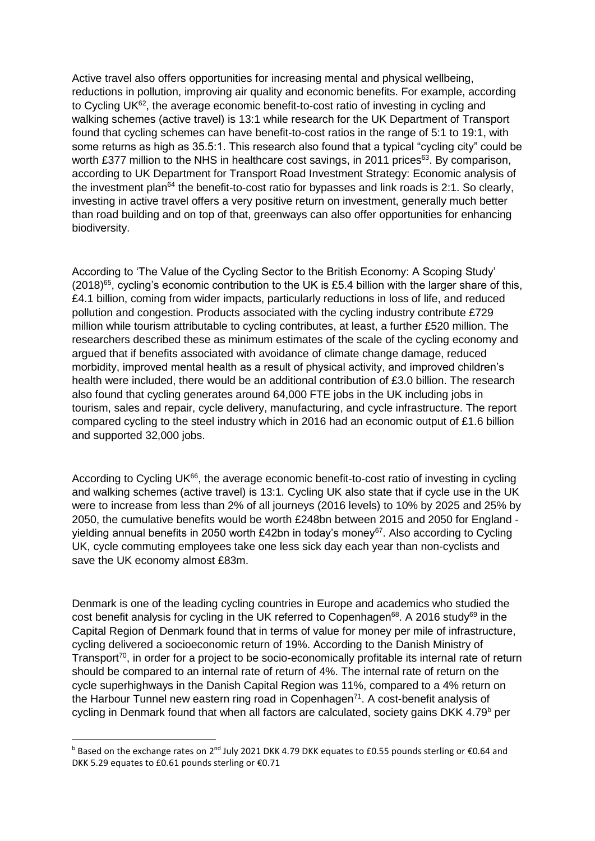Active travel also offers opportunities for increasing mental and physical wellbeing, reductions in pollution, improving air quality and economic benefits. For example, according to Cycling UK<sup>62</sup>, the average economic benefit-to-cost ratio of investing in cycling and walking schemes (active travel) is 13:1 while research for the UK Department of Transport found that cycling schemes can have benefit-to-cost ratios in the range of 5:1 to 19:1, with some returns as high as 35.5:1. This research also found that a typical "cycling city" could be worth £377 million to the NHS in healthcare cost savings, in 2011 prices<sup>63</sup>. By comparison, according to UK Department for Transport Road Investment Strategy: Economic analysis of the investment plan<sup>64</sup> the benefit-to-cost ratio for bypasses and link roads is 2:1. So clearly, investing in active travel offers a very positive return on investment, generally much better than road building and on top of that, greenways can also offer opportunities for enhancing biodiversity.

According to 'The Value of the Cycling Sector to the British Economy: A Scoping Study'  $(2018)^{65}$ , cycling's economic contribution to the UK is £5.4 billion with the larger share of this, £4.1 billion, coming from wider impacts, particularly reductions in loss of life, and reduced pollution and congestion. Products associated with the cycling industry contribute £729 million while tourism attributable to cycling contributes, at least, a further £520 million. The researchers described these as minimum estimates of the scale of the cycling economy and argued that if benefits associated with avoidance of climate change damage, reduced morbidity, improved mental health as a result of physical activity, and improved children's health were included, there would be an additional contribution of £3.0 billion. The research also found that cycling generates around 64,000 FTE jobs in the UK including jobs in tourism, sales and repair, cycle delivery, manufacturing, and cycle infrastructure. The report compared cycling to the steel industry which in 2016 had an economic output of £1.6 billion and supported 32,000 jobs.

According to Cycling UK $^{66}$ , the average economic benefit-to-cost ratio of investing in cycling and walking schemes (active travel) is 13:1*.* Cycling UK also state that if cycle use in the UK were to increase from less than 2% of all journeys (2016 levels) to 10% by 2025 and 25% by 2050, the cumulative benefits would be worth £248bn between 2015 and 2050 for England yielding annual benefits in 2050 worth £42bn in today's money<sup>67</sup>. Also according to Cycling UK, cycle commuting employees take one less sick day each year than non-cyclists and save the UK economy almost £83m.

Denmark is one of the leading cycling countries in Europe and academics who studied the cost benefit analysis for cycling in the UK referred to Copenhagen<sup>68</sup>. A 2016 study<sup>69</sup> in the Capital Region of Denmark found that in terms of value for money per mile of infrastructure, cycling delivered a socioeconomic return of 19%. According to the Danish Ministry of Transport<sup>70</sup>, in order for a project to be socio-economically profitable its internal rate of return should be compared to an internal rate of return of 4%. The internal rate of return on the cycle superhighways in the Danish Capital Region was 11%, compared to a 4% return on the Harbour Tunnel new eastern ring road in Copenhagen<sup> $71$ </sup>. A cost-benefit analysis of cycling in Denmark found that when all factors are calculated, society gains DKK 4.79<sup>b</sup> per

**.** 

**b** Based on the exchange rates on 2<sup>nd</sup> July 2021 DKK 4.79 DKK equates to £0.55 pounds sterling or €0.64 and DKK 5.29 equates to £0.61 pounds sterling or €0.71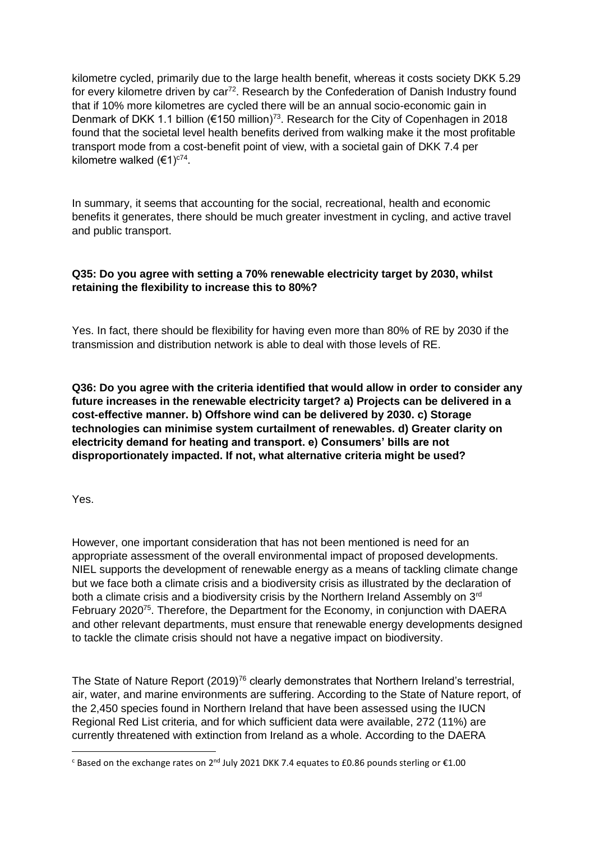kilometre cycled, primarily due to the large health benefit, whereas it costs society DKK 5.29 for every kilometre driven by car<sup>72</sup>. Research by the Confederation of Danish Industry found that if 10% more kilometres are cycled there will be an annual socio-economic gain in Denmark of DKK 1.1 billion ( $\epsilon$ 150 million)<sup>73</sup>. Research for the City of Copenhagen in 2018 found that the societal level health benefits derived from walking make it the most profitable transport mode from a cost-benefit point of view, with a societal gain of DKK 7.4 per kilometre walked  $(€1)^{c74}$ .

In summary, it seems that accounting for the social, recreational, health and economic benefits it generates, there should be much greater investment in cycling, and active travel and public transport.

# **Q35: Do you agree with setting a 70% renewable electricity target by 2030, whilst retaining the flexibility to increase this to 80%?**

Yes. In fact, there should be flexibility for having even more than 80% of RE by 2030 if the transmission and distribution network is able to deal with those levels of RE.

**Q36: Do you agree with the criteria identified that would allow in order to consider any future increases in the renewable electricity target? a) Projects can be delivered in a cost-effective manner. b) Offshore wind can be delivered by 2030. c) Storage technologies can minimise system curtailment of renewables. d) Greater clarity on electricity demand for heating and transport. e) Consumers' bills are not disproportionately impacted. If not, what alternative criteria might be used?** 

Yes.

**.** 

However, one important consideration that has not been mentioned is need for an appropriate assessment of the overall environmental impact of proposed developments. NIEL supports the development of renewable energy as a means of tackling climate change but we face both a climate crisis and a biodiversity crisis as illustrated by the declaration of both a climate crisis and a biodiversity crisis by the Northern Ireland Assembly on  $3<sup>rd</sup>$ February 2020<sup>75</sup>. Therefore, the Department for the Economy, in conjunction with DAERA and other relevant departments, must ensure that renewable energy developments designed to tackle the climate crisis should not have a negative impact on biodiversity.

The State of Nature Report (2019)<sup>76</sup> clearly demonstrates that Northern Ireland's terrestrial, air, water, and marine environments are suffering. According to the State of Nature report, of the 2,450 species found in Northern Ireland that have been assessed using the IUCN Regional Red List criteria, and for which sufficient data were available, 272 (11%) are currently threatened with extinction from Ireland as a whole. According to the DAERA

 $c$  Based on the exchange rates on 2<sup>nd</sup> July 2021 DKK 7.4 equates to £0.86 pounds sterling or  $\epsilon$ 1.00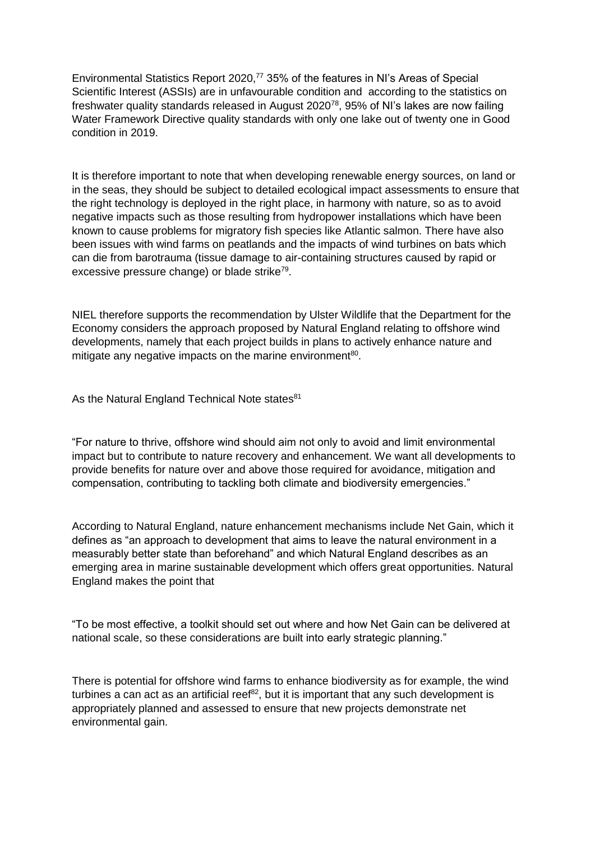Environmental Statistics Report 2020,<sup>77</sup> 35% of the features in NI's Areas of Special Scientific Interest (ASSIs) are in unfavourable condition and according to the statistics on freshwater quality standards released in August 2020<sup>78</sup>, 95% of NI's lakes are now failing Water Framework Directive quality standards with only one lake out of twenty one in Good condition in 2019.

It is therefore important to note that when developing renewable energy sources, on land or in the seas, they should be subject to detailed ecological impact assessments to ensure that the right technology is deployed in the right place, in harmony with nature, so as to avoid negative impacts such as those resulting from hydropower installations which have been known to cause problems for migratory fish species like Atlantic salmon. There have also been issues with wind farms on peatlands and the impacts of wind turbines on bats which can die from barotrauma (tissue damage to air-containing structures caused by rapid or excessive pressure change) or blade strike<sup>79</sup>.

NIEL therefore supports the recommendation by Ulster Wildlife that the Department for the Economy considers the approach proposed by Natural England relating to offshore wind developments, namely that each project builds in plans to actively enhance nature and mitigate any negative impacts on the marine environment<sup>80</sup>.

As the Natural England Technical Note states<sup>81</sup>

"For nature to thrive, offshore wind should aim not only to avoid and limit environmental impact but to contribute to nature recovery and enhancement. We want all developments to provide benefits for nature over and above those required for avoidance, mitigation and compensation, contributing to tackling both climate and biodiversity emergencies."

According to Natural England, nature enhancement mechanisms include Net Gain, which it defines as "an approach to development that aims to leave the natural environment in a measurably better state than beforehand" and which Natural England describes as an emerging area in marine sustainable development which offers great opportunities. Natural England makes the point that

"To be most effective, a toolkit should set out where and how Net Gain can be delivered at national scale, so these considerations are built into early strategic planning."

There is potential for offshore wind farms to enhance biodiversity as for example, the wind turbines a can act as an artificial reef $^{82}$ , but it is important that any such development is appropriately planned and assessed to ensure that new projects demonstrate net environmental gain.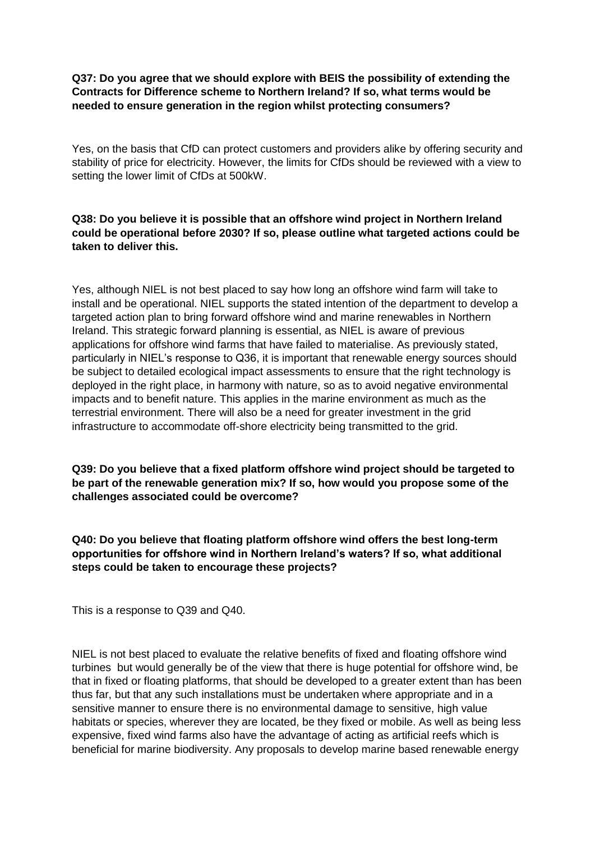# **Q37: Do you agree that we should explore with BEIS the possibility of extending the Contracts for Difference scheme to Northern Ireland? If so, what terms would be needed to ensure generation in the region whilst protecting consumers?**

Yes, on the basis that CfD can protect customers and providers alike by offering security and stability of price for electricity. However, the limits for CfDs should be reviewed with a view to setting the lower limit of CfDs at 500kW.

### **Q38: Do you believe it is possible that an offshore wind project in Northern Ireland could be operational before 2030? If so, please outline what targeted actions could be taken to deliver this.**

Yes, although NIEL is not best placed to say how long an offshore wind farm will take to install and be operational. NIEL supports the stated intention of the department to develop a targeted action plan to bring forward offshore wind and marine renewables in Northern Ireland. This strategic forward planning is essential, as NIEL is aware of previous applications for offshore wind farms that have failed to materialise. As previously stated, particularly in NIEL's response to Q36, it is important that renewable energy sources should be subject to detailed ecological impact assessments to ensure that the right technology is deployed in the right place, in harmony with nature, so as to avoid negative environmental impacts and to benefit nature. This applies in the marine environment as much as the terrestrial environment. There will also be a need for greater investment in the grid infrastructure to accommodate off-shore electricity being transmitted to the grid.

**Q39: Do you believe that a fixed platform offshore wind project should be targeted to be part of the renewable generation mix? If so, how would you propose some of the challenges associated could be overcome?** 

# **Q40: Do you believe that floating platform offshore wind offers the best long-term opportunities for offshore wind in Northern Ireland's waters? If so, what additional steps could be taken to encourage these projects?**

This is a response to Q39 and Q40.

NIEL is not best placed to evaluate the relative benefits of fixed and floating offshore wind turbines but would generally be of the view that there is huge potential for offshore wind, be that in fixed or floating platforms, that should be developed to a greater extent than has been thus far, but that any such installations must be undertaken where appropriate and in a sensitive manner to ensure there is no environmental damage to sensitive, high value habitats or species, wherever they are located, be they fixed or mobile. As well as being less expensive, fixed wind farms also have the advantage of acting as artificial reefs which is beneficial for marine biodiversity. Any proposals to develop marine based renewable energy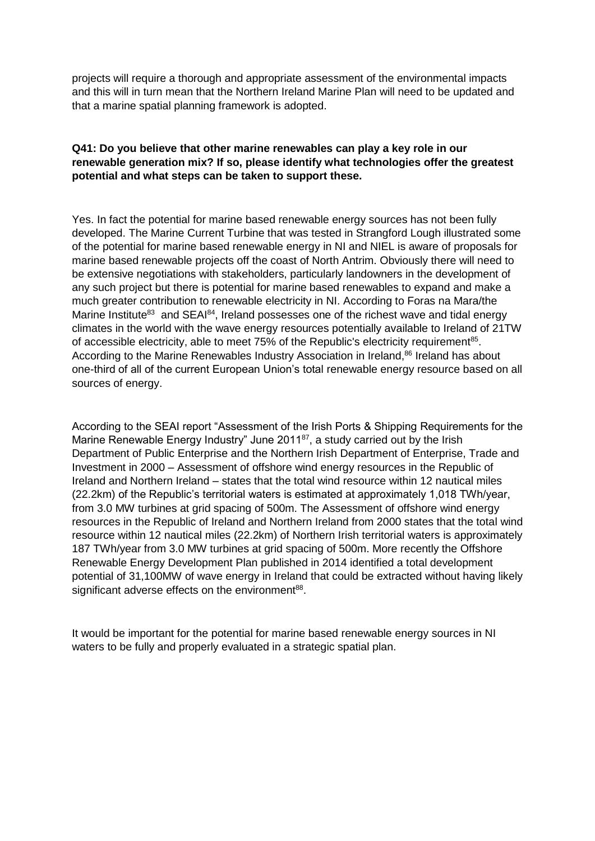projects will require a thorough and appropriate assessment of the environmental impacts and this will in turn mean that the Northern Ireland Marine Plan will need to be updated and that a marine spatial planning framework is adopted.

#### **Q41: Do you believe that other marine renewables can play a key role in our renewable generation mix? If so, please identify what technologies offer the greatest potential and what steps can be taken to support these.**

Yes. In fact the potential for marine based renewable energy sources has not been fully developed. The Marine Current Turbine that was tested in Strangford Lough illustrated some of the potential for marine based renewable energy in NI and NIEL is aware of proposals for marine based renewable projects off the coast of North Antrim. Obviously there will need to be extensive negotiations with stakeholders, particularly landowners in the development of any such project but there is potential for marine based renewables to expand and make a much greater contribution to renewable electricity in NI. According to Foras na Mara/the Marine Institute<sup>83</sup> and SEAI<sup>84</sup>, Ireland possesses one of the richest wave and tidal energy climates in the world with the wave energy resources potentially available to Ireland of 21TW of accessible electricity, able to meet 75% of the Republic's electricity requirement<sup>85</sup>. According to the Marine Renewables Industry Association in Ireland,<sup>86</sup> Ireland has about one-third of all of the current European Union's total renewable energy resource based on all sources of energy.

According to the SEAI report "Assessment of the Irish Ports & Shipping Requirements for the Marine Renewable Energy Industry" June  $2011^{87}$ , a study carried out by the Irish Department of Public Enterprise and the Northern Irish Department of Enterprise, Trade and Investment in 2000 – Assessment of offshore wind energy resources in the Republic of Ireland and Northern Ireland – states that the total wind resource within 12 nautical miles (22.2km) of the Republic's territorial waters is estimated at approximately 1,018 TWh/year, from 3.0 MW turbines at grid spacing of 500m. The Assessment of offshore wind energy resources in the Republic of Ireland and Northern Ireland from 2000 states that the total wind resource within 12 nautical miles (22.2km) of Northern Irish territorial waters is approximately 187 TWh/year from 3.0 MW turbines at grid spacing of 500m. More recently the Offshore Renewable Energy Development Plan published in 2014 identified a total development potential of 31,100MW of wave energy in Ireland that could be extracted without having likely significant adverse effects on the environment<sup>88</sup>.

It would be important for the potential for marine based renewable energy sources in NI waters to be fully and properly evaluated in a strategic spatial plan.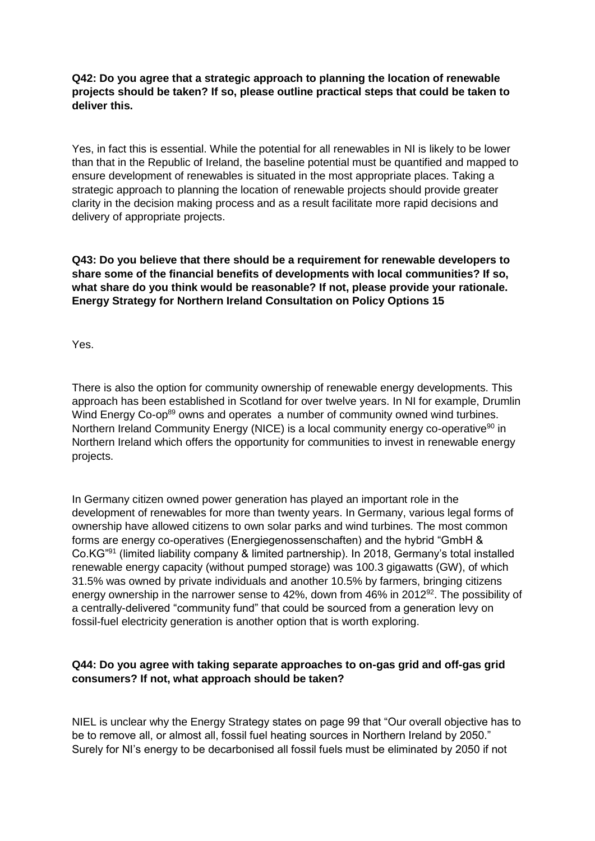# **Q42: Do you agree that a strategic approach to planning the location of renewable projects should be taken? If so, please outline practical steps that could be taken to deliver this.**

Yes, in fact this is essential. While the potential for all renewables in NI is likely to be lower than that in the Republic of Ireland, the baseline potential must be quantified and mapped to ensure development of renewables is situated in the most appropriate places. Taking a strategic approach to planning the location of renewable projects should provide greater clarity in the decision making process and as a result facilitate more rapid decisions and delivery of appropriate projects.

# **Q43: Do you believe that there should be a requirement for renewable developers to share some of the financial benefits of developments with local communities? If so, what share do you think would be reasonable? If not, please provide your rationale. Energy Strategy for Northern Ireland Consultation on Policy Options 15**

Yes.

There is also the option for community ownership of renewable energy developments. This approach has been established in Scotland for over twelve years. In NI for example, Drumlin Wind Energy Co-op<sup>89</sup> owns and operates a number of community owned wind turbines. Northern Ireland Community Energy (NICE) is a local community energy co-operative<sup>90</sup> in Northern Ireland which offers the opportunity for communities to invest in renewable energy projects.

In Germany citizen owned power generation has played an important role in the development of renewables for more than twenty years. In Germany, various legal forms of ownership have allowed citizens to own solar parks and wind turbines. The most common forms are energy co-operatives (Energiegenossenschaften) and the hybrid "GmbH & Co.KG"<sup>91</sup> (limited liability company & limited partnership). In 2018, Germany's total installed renewable energy capacity (without pumped storage) was 100.3 gigawatts (GW), of which 31.5% was owned by private individuals and another 10.5% by farmers, bringing citizens energy ownership in the narrower sense to 42%, down from 46% in 2012<sup>92</sup>. The possibility of a centrally-delivered "community fund" that could be sourced from a generation levy on fossil-fuel electricity generation is another option that is worth exploring.

# **Q44: Do you agree with taking separate approaches to on-gas grid and off-gas grid consumers? If not, what approach should be taken?**

NIEL is unclear why the Energy Strategy states on page 99 that "Our overall objective has to be to remove all, or almost all, fossil fuel heating sources in Northern Ireland by 2050." Surely for NI's energy to be decarbonised all fossil fuels must be eliminated by 2050 if not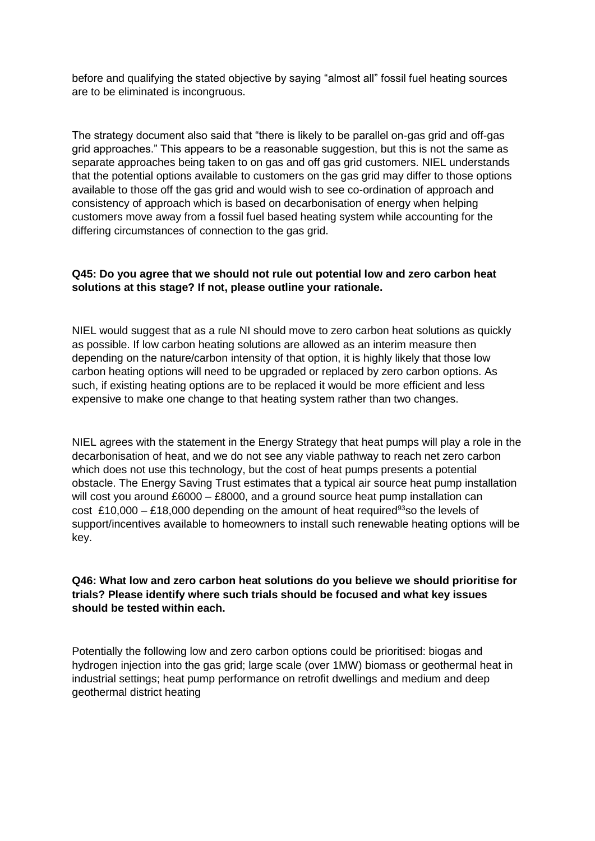before and qualifying the stated objective by saying "almost all" fossil fuel heating sources are to be eliminated is incongruous.

The strategy document also said that "there is likely to be parallel on-gas grid and off-gas grid approaches." This appears to be a reasonable suggestion, but this is not the same as separate approaches being taken to on gas and off gas grid customers. NIEL understands that the potential options available to customers on the gas grid may differ to those options available to those off the gas grid and would wish to see co-ordination of approach and consistency of approach which is based on decarbonisation of energy when helping customers move away from a fossil fuel based heating system while accounting for the differing circumstances of connection to the gas grid.

#### **Q45: Do you agree that we should not rule out potential low and zero carbon heat solutions at this stage? If not, please outline your rationale.**

NIEL would suggest that as a rule NI should move to zero carbon heat solutions as quickly as possible. If low carbon heating solutions are allowed as an interim measure then depending on the nature/carbon intensity of that option, it is highly likely that those low carbon heating options will need to be upgraded or replaced by zero carbon options. As such, if existing heating options are to be replaced it would be more efficient and less expensive to make one change to that heating system rather than two changes.

NIEL agrees with the statement in the Energy Strategy that heat pumps will play a role in the decarbonisation of heat, and we do not see any viable pathway to reach net zero carbon which does not use this technology, but the cost of heat pumps presents a potential obstacle. The Energy Saving Trust estimates that a typical air source heat pump installation will cost you around £6000 – £8000, and a ground source heat pump installation can cost £10,000 – £18,000 depending on the amount of heat required<sup>93</sup>so the levels of support/incentives available to homeowners to install such renewable heating options will be key.

### **Q46: What low and zero carbon heat solutions do you believe we should prioritise for trials? Please identify where such trials should be focused and what key issues should be tested within each.**

Potentially the following low and zero carbon options could be prioritised: biogas and hydrogen injection into the gas grid; large scale (over 1MW) biomass or geothermal heat in industrial settings; heat pump performance on retrofit dwellings and medium and deep geothermal district heating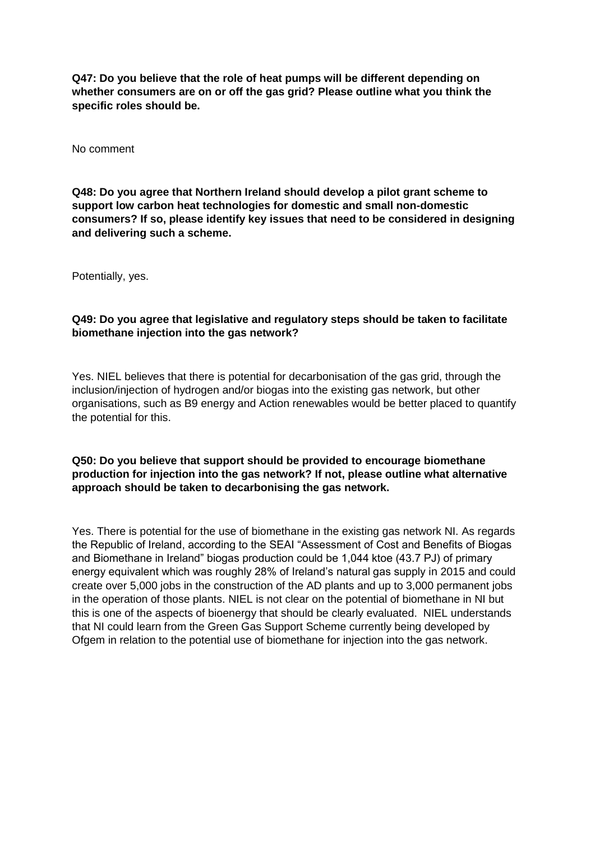**Q47: Do you believe that the role of heat pumps will be different depending on whether consumers are on or off the gas grid? Please outline what you think the specific roles should be.** 

No comment

**Q48: Do you agree that Northern Ireland should develop a pilot grant scheme to support low carbon heat technologies for domestic and small non-domestic consumers? If so, please identify key issues that need to be considered in designing and delivering such a scheme.** 

Potentially, yes.

# **Q49: Do you agree that legislative and regulatory steps should be taken to facilitate biomethane injection into the gas network?**

Yes. NIEL believes that there is potential for decarbonisation of the gas grid, through the inclusion/injection of hydrogen and/or biogas into the existing gas network, but other organisations, such as B9 energy and Action renewables would be better placed to quantify the potential for this.

### **Q50: Do you believe that support should be provided to encourage biomethane production for injection into the gas network? If not, please outline what alternative approach should be taken to decarbonising the gas network.**

Yes. There is potential for the use of biomethane in the existing gas network NI. As regards the Republic of Ireland, according to the SEAI "Assessment of Cost and Benefits of Biogas and Biomethane in Ireland" biogas production could be 1,044 ktoe (43.7 PJ) of primary energy equivalent which was roughly 28% of Ireland's natural gas supply in 2015 and could create over 5,000 jobs in the construction of the AD plants and up to 3,000 permanent jobs in the operation of those plants. NIEL is not clear on the potential of biomethane in NI but this is one of the aspects of bioenergy that should be clearly evaluated. NIEL understands that NI could learn from the Green Gas Support Scheme currently being developed by Ofgem in relation to the potential use of biomethane for injection into the gas network.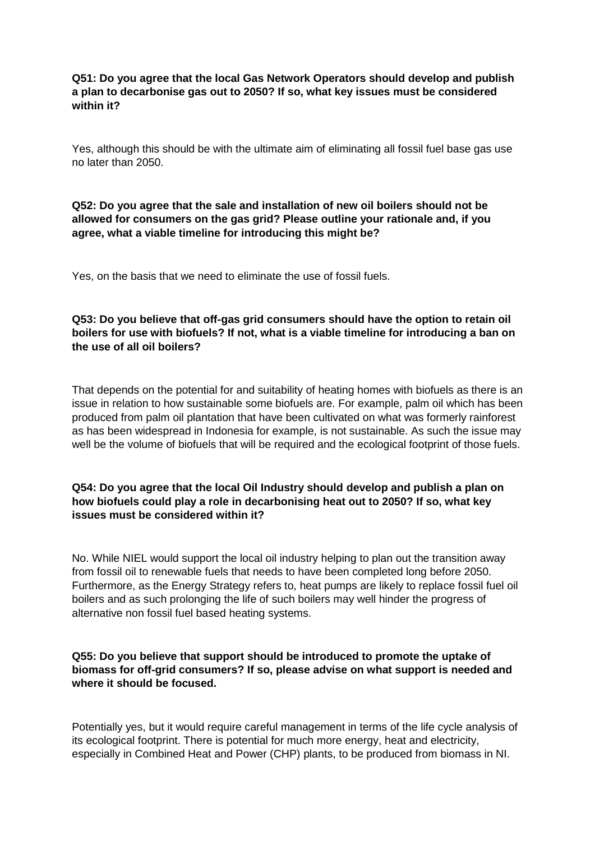# **Q51: Do you agree that the local Gas Network Operators should develop and publish a plan to decarbonise gas out to 2050? If so, what key issues must be considered within it?**

Yes, although this should be with the ultimate aim of eliminating all fossil fuel base gas use no later than 2050.

#### **Q52: Do you agree that the sale and installation of new oil boilers should not be allowed for consumers on the gas grid? Please outline your rationale and, if you agree, what a viable timeline for introducing this might be?**

Yes, on the basis that we need to eliminate the use of fossil fuels.

# **Q53: Do you believe that off-gas grid consumers should have the option to retain oil boilers for use with biofuels? If not, what is a viable timeline for introducing a ban on the use of all oil boilers?**

That depends on the potential for and suitability of heating homes with biofuels as there is an issue in relation to how sustainable some biofuels are. For example, palm oil which has been produced from palm oil plantation that have been cultivated on what was formerly rainforest as has been widespread in Indonesia for example, is not sustainable. As such the issue may well be the volume of biofuels that will be required and the ecological footprint of those fuels.

# **Q54: Do you agree that the local Oil Industry should develop and publish a plan on how biofuels could play a role in decarbonising heat out to 2050? If so, what key issues must be considered within it?**

No. While NIEL would support the local oil industry helping to plan out the transition away from fossil oil to renewable fuels that needs to have been completed long before 2050. Furthermore, as the Energy Strategy refers to, heat pumps are likely to replace fossil fuel oil boilers and as such prolonging the life of such boilers may well hinder the progress of alternative non fossil fuel based heating systems.

### **Q55: Do you believe that support should be introduced to promote the uptake of biomass for off-grid consumers? If so, please advise on what support is needed and where it should be focused.**

Potentially yes, but it would require careful management in terms of the life cycle analysis of its ecological footprint. There is potential for much more energy, heat and electricity, especially in Combined Heat and Power (CHP) plants, to be produced from biomass in NI.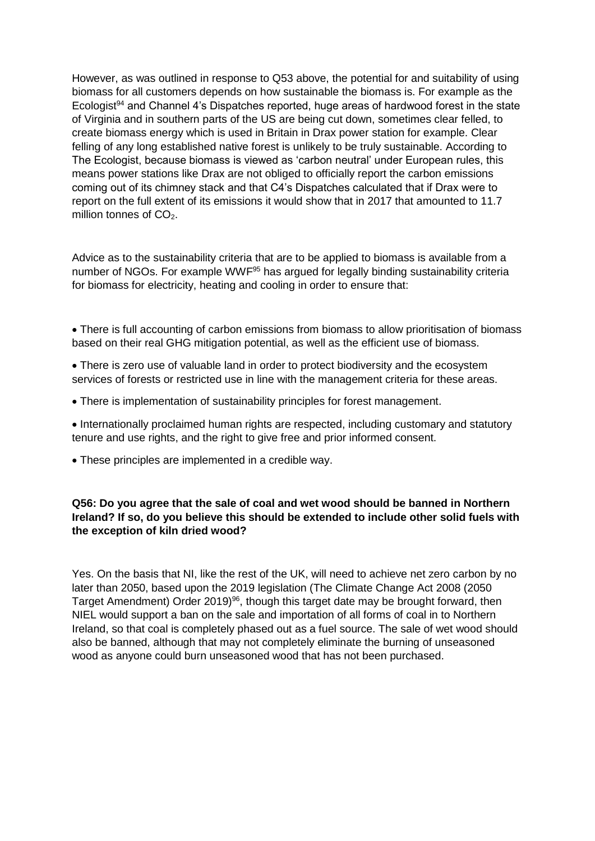However, as was outlined in response to Q53 above, the potential for and suitability of using biomass for all customers depends on how sustainable the biomass is. For example as the Ecologist<sup>94</sup> and Channel 4's Dispatches reported, huge areas of hardwood forest in the state of Virginia and in southern parts of the US are being cut down, sometimes clear felled, to create biomass energy which is used in Britain in Drax power station for example. Clear felling of any long established native forest is unlikely to be truly sustainable. According to The Ecologist, because biomass is viewed as 'carbon neutral' under European rules, this means power stations like Drax are not obliged to officially report the carbon emissions coming out of its chimney stack and that C4's Dispatches calculated that if Drax were to report on the full extent of its emissions it would show that in 2017 that amounted to 11.7 million tonnes of  $CO<sub>2</sub>$ .

Advice as to the sustainability criteria that are to be applied to biomass is available from a number of NGOs. For example WWF<sup>95</sup> has argued for legally binding sustainability criteria for biomass for electricity, heating and cooling in order to ensure that:

- There is full accounting of carbon emissions from biomass to allow prioritisation of biomass based on their real GHG mitigation potential, as well as the efficient use of biomass.
- There is zero use of valuable land in order to protect biodiversity and the ecosystem services of forests or restricted use in line with the management criteria for these areas.
- There is implementation of sustainability principles for forest management.
- Internationally proclaimed human rights are respected, including customary and statutory tenure and use rights, and the right to give free and prior informed consent.
- These principles are implemented in a credible way.

### **Q56: Do you agree that the sale of coal and wet wood should be banned in Northern Ireland? If so, do you believe this should be extended to include other solid fuels with the exception of kiln dried wood?**

Yes. On the basis that NI, like the rest of the UK, will need to achieve net zero carbon by no later than 2050, based upon the 2019 legislation (The Climate Change Act 2008 (2050 Target Amendment) Order 2019)<sup>96</sup>, though this target date may be brought forward, then NIEL would support a ban on the sale and importation of all forms of coal in to Northern Ireland, so that coal is completely phased out as a fuel source. The sale of wet wood should also be banned, although that may not completely eliminate the burning of unseasoned wood as anyone could burn unseasoned wood that has not been purchased.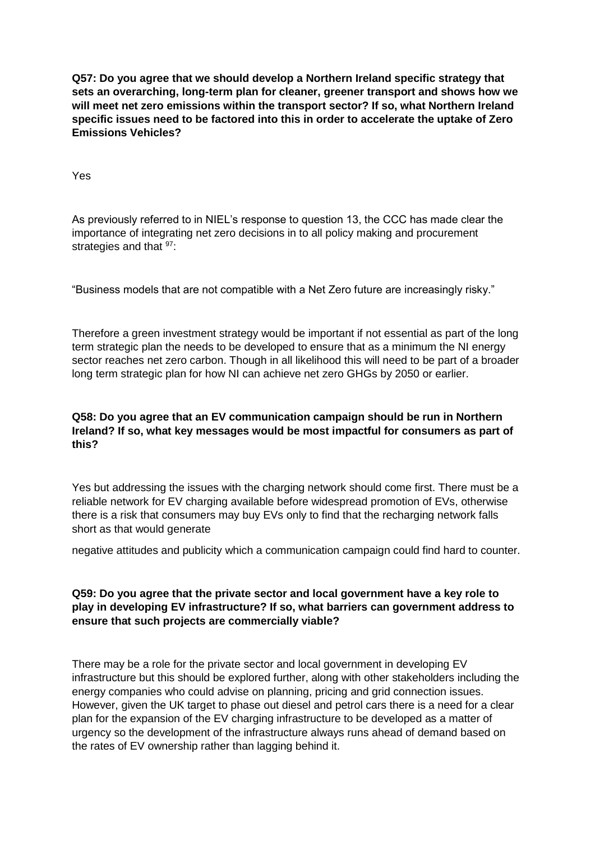**Q57: Do you agree that we should develop a Northern Ireland specific strategy that sets an overarching, long-term plan for cleaner, greener transport and shows how we will meet net zero emissions within the transport sector? If so, what Northern Ireland specific issues need to be factored into this in order to accelerate the uptake of Zero Emissions Vehicles?** 

Yes

As previously referred to in NIEL's response to question 13, the CCC has made clear the importance of integrating net zero decisions in to all policy making and procurement strategies and that  $97$ :

"Business models that are not compatible with a Net Zero future are increasingly risky."

Therefore a green investment strategy would be important if not essential as part of the long term strategic plan the needs to be developed to ensure that as a minimum the NI energy sector reaches net zero carbon. Though in all likelihood this will need to be part of a broader long term strategic plan for how NI can achieve net zero GHGs by 2050 or earlier.

# **Q58: Do you agree that an EV communication campaign should be run in Northern Ireland? If so, what key messages would be most impactful for consumers as part of this?**

Yes but addressing the issues with the charging network should come first. There must be a reliable network for EV charging available before widespread promotion of EVs, otherwise there is a risk that consumers may buy EVs only to find that the recharging network falls short as that would generate

negative attitudes and publicity which a communication campaign could find hard to counter.

### **Q59: Do you agree that the private sector and local government have a key role to play in developing EV infrastructure? If so, what barriers can government address to ensure that such projects are commercially viable?**

There may be a role for the private sector and local government in developing EV infrastructure but this should be explored further, along with other stakeholders including the energy companies who could advise on planning, pricing and grid connection issues. However, given the UK target to phase out diesel and petrol cars there is a need for a clear plan for the expansion of the EV charging infrastructure to be developed as a matter of urgency so the development of the infrastructure always runs ahead of demand based on the rates of EV ownership rather than lagging behind it.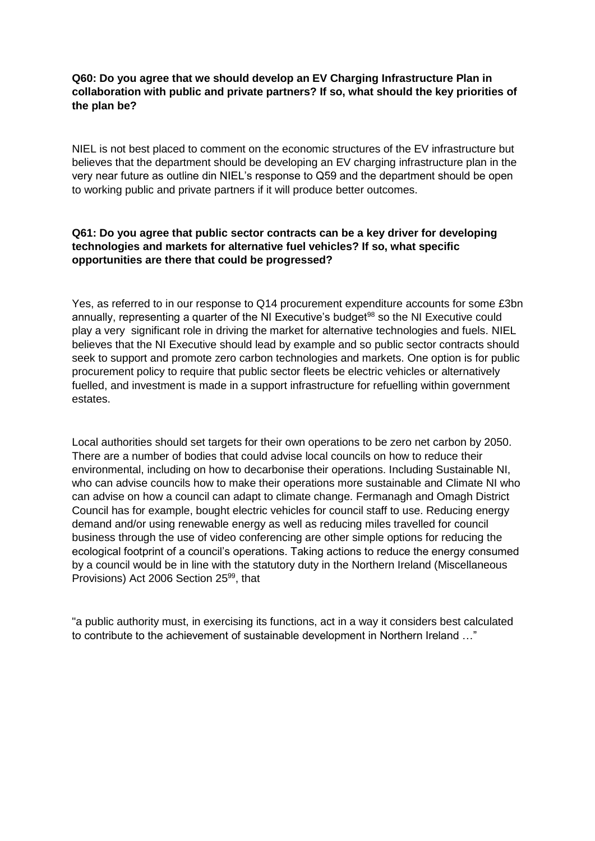# **Q60: Do you agree that we should develop an EV Charging Infrastructure Plan in collaboration with public and private partners? If so, what should the key priorities of the plan be?**

NIEL is not best placed to comment on the economic structures of the EV infrastructure but believes that the department should be developing an EV charging infrastructure plan in the very near future as outline din NIEL's response to Q59 and the department should be open to working public and private partners if it will produce better outcomes.

### **Q61: Do you agree that public sector contracts can be a key driver for developing technologies and markets for alternative fuel vehicles? If so, what specific opportunities are there that could be progressed?**

Yes, as referred to in our response to Q14 procurement expenditure accounts for some £3bn annually, representing a quarter of the NI Executive's budget<sup>98</sup> so the NI Executive could play a very significant role in driving the market for alternative technologies and fuels. NIEL believes that the NI Executive should lead by example and so public sector contracts should seek to support and promote zero carbon technologies and markets. One option is for public procurement policy to require that public sector fleets be electric vehicles or alternatively fuelled, and investment is made in a support infrastructure for refuelling within government estates.

Local authorities should set targets for their own operations to be zero net carbon by 2050. There are a number of bodies that could advise local councils on how to reduce their environmental, including on how to decarbonise their operations. Including Sustainable NI, who can advise councils how to make their operations more sustainable and Climate NI who can advise on how a council can adapt to climate change. Fermanagh and Omagh District Council has for example, bought electric vehicles for council staff to use. Reducing energy demand and/or using renewable energy as well as reducing miles travelled for council business through the use of video conferencing are other simple options for reducing the ecological footprint of a council's operations. Taking actions to reduce the energy consumed by a council would be in line with the statutory duty in the Northern Ireland (Miscellaneous Provisions) Act 2006 Section 25<sup>99</sup>, that

"a public authority must, in exercising its functions, act in a way it considers best calculated to contribute to the achievement of sustainable development in Northern Ireland …"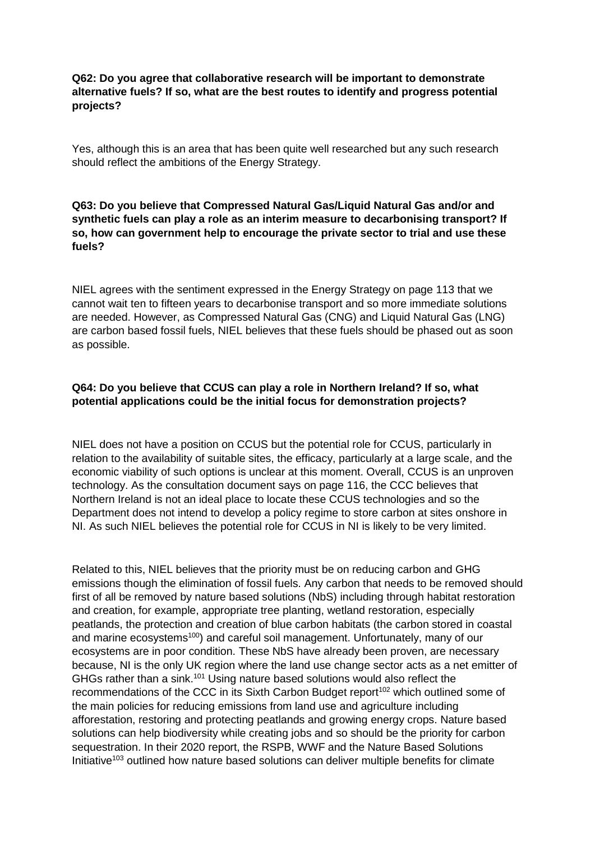# **Q62: Do you agree that collaborative research will be important to demonstrate alternative fuels? If so, what are the best routes to identify and progress potential projects?**

Yes, although this is an area that has been quite well researched but any such research should reflect the ambitions of the Energy Strategy.

#### **Q63: Do you believe that Compressed Natural Gas/Liquid Natural Gas and/or and synthetic fuels can play a role as an interim measure to decarbonising transport? If so, how can government help to encourage the private sector to trial and use these fuels?**

NIEL agrees with the sentiment expressed in the Energy Strategy on page 113 that we cannot wait ten to fifteen years to decarbonise transport and so more immediate solutions are needed. However, as Compressed Natural Gas (CNG) and Liquid Natural Gas (LNG) are carbon based fossil fuels, NIEL believes that these fuels should be phased out as soon as possible.

# **Q64: Do you believe that CCUS can play a role in Northern Ireland? If so, what potential applications could be the initial focus for demonstration projects?**

NIEL does not have a position on CCUS but the potential role for CCUS, particularly in relation to the availability of suitable sites, the efficacy, particularly at a large scale, and the economic viability of such options is unclear at this moment. Overall, CCUS is an unproven technology. As the consultation document says on page 116, the CCC believes that Northern Ireland is not an ideal place to locate these CCUS technologies and so the Department does not intend to develop a policy regime to store carbon at sites onshore in NI. As such NIEL believes the potential role for CCUS in NI is likely to be very limited.

Related to this, NIEL believes that the priority must be on reducing carbon and GHG emissions though the elimination of fossil fuels. Any carbon that needs to be removed should first of all be removed by nature based solutions (NbS) including through habitat restoration and creation, for example, appropriate tree planting, wetland restoration, especially peatlands, the protection and creation of blue carbon habitats (the carbon stored in coastal and marine ecosystems<sup>100</sup>) and careful soil management. Unfortunately, many of our ecosystems are in poor condition. These NbS have already been proven, are necessary because, NI is the only UK region where the land use change sector acts as a net emitter of GHGs rather than a sink.<sup>101</sup> Using nature based solutions would also reflect the recommendations of the CCC in its Sixth Carbon Budget report<sup>102</sup> which outlined some of the main policies for reducing emissions from land use and agriculture including afforestation, restoring and protecting peatlands and growing energy crops. Nature based solutions can help biodiversity while creating jobs and so should be the priority for carbon sequestration. In their 2020 report, the RSPB, WWF and the Nature Based Solutions Initiative<sup>103</sup> outlined how nature based solutions can deliver multiple benefits for climate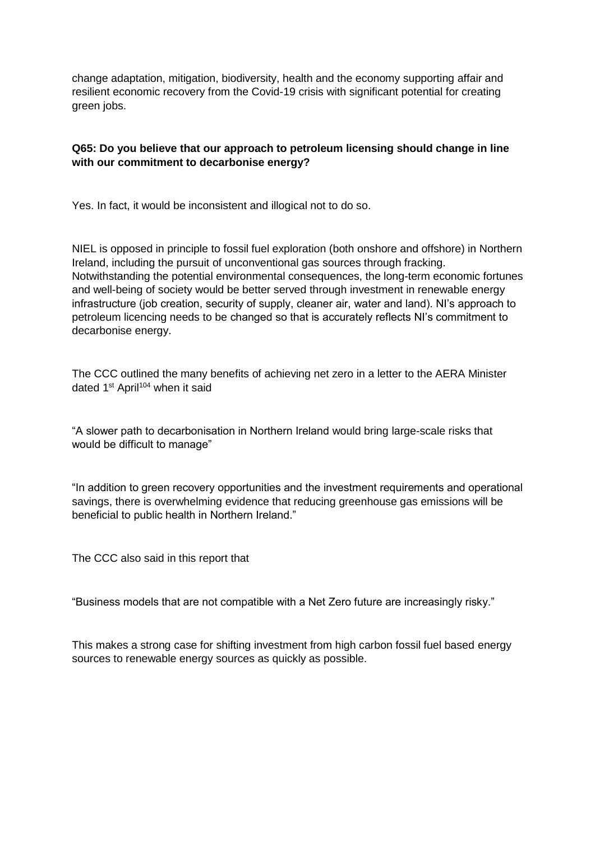change adaptation, mitigation, biodiversity, health and the economy supporting affair and resilient economic recovery from the Covid-19 crisis with significant potential for creating green jobs.

# **Q65: Do you believe that our approach to petroleum licensing should change in line with our commitment to decarbonise energy?**

Yes. In fact, it would be inconsistent and illogical not to do so.

NIEL is opposed in principle to fossil fuel exploration (both onshore and offshore) in Northern Ireland, including the pursuit of unconventional gas sources through fracking. Notwithstanding the potential environmental consequences, the long-term economic fortunes and well-being of society would be better served through investment in renewable energy infrastructure (job creation, security of supply, cleaner air, water and land). NI's approach to petroleum licencing needs to be changed so that is accurately reflects NI's commitment to decarbonise energy.

The CCC outlined the many benefits of achieving net zero in a letter to the AERA Minister dated 1<sup>st</sup> April<sup>104</sup> when it said

"A slower path to decarbonisation in Northern Ireland would bring large-scale risks that would be difficult to manage"

"In addition to green recovery opportunities and the investment requirements and operational savings, there is overwhelming evidence that reducing greenhouse gas emissions will be beneficial to public health in Northern Ireland."

The CCC also said in this report that

"Business models that are not compatible with a Net Zero future are increasingly risky."

This makes a strong case for shifting investment from high carbon fossil fuel based energy sources to renewable energy sources as quickly as possible.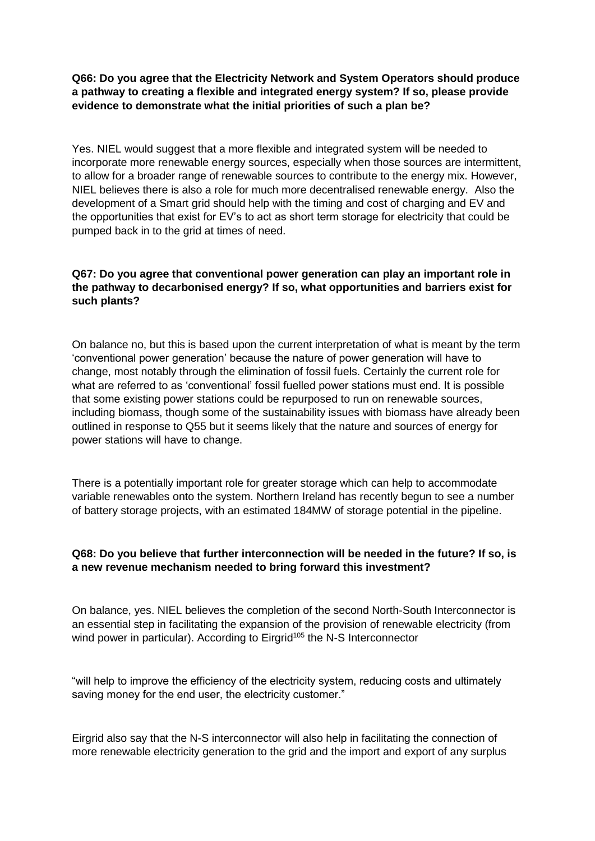# **Q66: Do you agree that the Electricity Network and System Operators should produce a pathway to creating a flexible and integrated energy system? If so, please provide evidence to demonstrate what the initial priorities of such a plan be?**

Yes. NIEL would suggest that a more flexible and integrated system will be needed to incorporate more renewable energy sources, especially when those sources are intermittent, to allow for a broader range of renewable sources to contribute to the energy mix. However, NIEL believes there is also a role for much more decentralised renewable energy. Also the development of a Smart grid should help with the timing and cost of charging and EV and the opportunities that exist for EV's to act as short term storage for electricity that could be pumped back in to the grid at times of need.

# **Q67: Do you agree that conventional power generation can play an important role in the pathway to decarbonised energy? If so, what opportunities and barriers exist for such plants?**

On balance no, but this is based upon the current interpretation of what is meant by the term 'conventional power generation' because the nature of power generation will have to change, most notably through the elimination of fossil fuels. Certainly the current role for what are referred to as 'conventional' fossil fuelled power stations must end. It is possible that some existing power stations could be repurposed to run on renewable sources, including biomass, though some of the sustainability issues with biomass have already been outlined in response to Q55 but it seems likely that the nature and sources of energy for power stations will have to change.

There is a potentially important role for greater storage which can help to accommodate variable renewables onto the system. Northern Ireland has recently begun to see a number of battery storage projects, with an estimated 184MW of storage potential in the pipeline.

# **Q68: Do you believe that further interconnection will be needed in the future? If so, is a new revenue mechanism needed to bring forward this investment?**

On balance, yes. NIEL believes the completion of the second North-South Interconnector is an essential step in facilitating the expansion of the provision of renewable electricity (from wind power in particular). According to Eirgrid<sup>105</sup> the N-S Interconnector

"will help to improve the efficiency of the electricity system, reducing costs and ultimately saving money for the end user, the electricity customer."

Eirgrid also say that the N-S interconnector will also help in facilitating the connection of more renewable electricity generation to the grid and the import and export of any surplus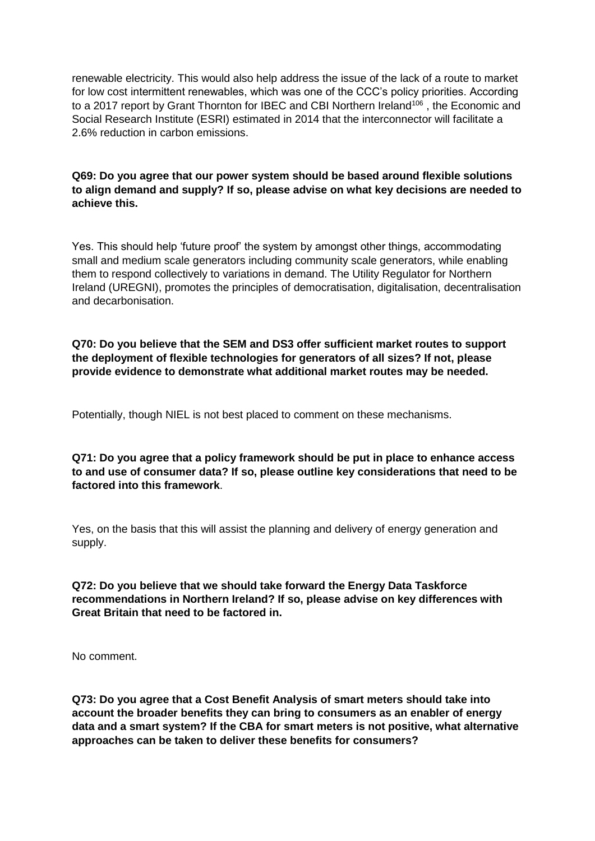renewable electricity. This would also help address the issue of the lack of a route to market for low cost intermittent renewables, which was one of the CCC's policy priorities. According to a 2017 report by Grant Thornton for IBEC and CBI Northern Ireland<sup>106</sup>, the Economic and Social Research Institute (ESRI) estimated in 2014 that the interconnector will facilitate a 2.6% reduction in carbon emissions.

#### **Q69: Do you agree that our power system should be based around flexible solutions to align demand and supply? If so, please advise on what key decisions are needed to achieve this.**

Yes. This should help 'future proof' the system by amongst other things, accommodating small and medium scale generators including community scale generators, while enabling them to respond collectively to variations in demand. The Utility Regulator for Northern Ireland (UREGNI), promotes the principles of democratisation, digitalisation, decentralisation and decarbonisation.

**Q70: Do you believe that the SEM and DS3 offer sufficient market routes to support the deployment of flexible technologies for generators of all sizes? If not, please provide evidence to demonstrate what additional market routes may be needed.** 

Potentially, though NIEL is not best placed to comment on these mechanisms.

**Q71: Do you agree that a policy framework should be put in place to enhance access to and use of consumer data? If so, please outline key considerations that need to be factored into this framework**.

Yes, on the basis that this will assist the planning and delivery of energy generation and supply.

### **Q72: Do you believe that we should take forward the Energy Data Taskforce recommendations in Northern Ireland? If so, please advise on key differences with Great Britain that need to be factored in.**

No comment.

**Q73: Do you agree that a Cost Benefit Analysis of smart meters should take into account the broader benefits they can bring to consumers as an enabler of energy data and a smart system? If the CBA for smart meters is not positive, what alternative approaches can be taken to deliver these benefits for consumers?**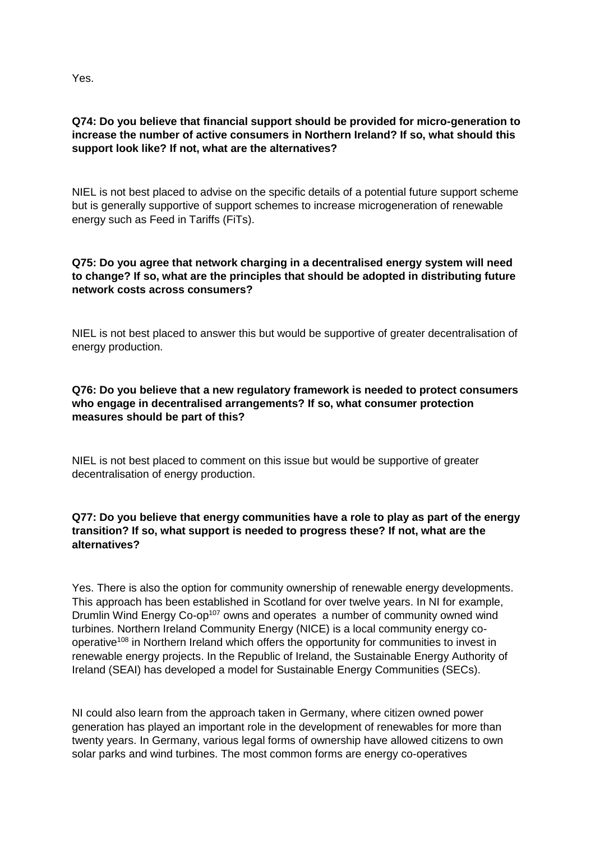Yes.

# **Q74: Do you believe that financial support should be provided for micro-generation to increase the number of active consumers in Northern Ireland? If so, what should this support look like? If not, what are the alternatives?**

NIEL is not best placed to advise on the specific details of a potential future support scheme but is generally supportive of support schemes to increase microgeneration of renewable energy such as Feed in Tariffs (FiTs).

# **Q75: Do you agree that network charging in a decentralised energy system will need to change? If so, what are the principles that should be adopted in distributing future network costs across consumers?**

NIEL is not best placed to answer this but would be supportive of greater decentralisation of energy production.

# **Q76: Do you believe that a new regulatory framework is needed to protect consumers who engage in decentralised arrangements? If so, what consumer protection measures should be part of this?**

NIEL is not best placed to comment on this issue but would be supportive of greater decentralisation of energy production.

# **Q77: Do you believe that energy communities have a role to play as part of the energy transition? If so, what support is needed to progress these? If not, what are the alternatives?**

Yes. There is also the option for community ownership of renewable energy developments. This approach has been established in Scotland for over twelve years. In NI for example, Drumlin Wind Energy Co-op<sup>107</sup> owns and operates a number of community owned wind turbines. Northern Ireland Community Energy (NICE) is a local community energy cooperative<sup>108</sup> in Northern Ireland which offers the opportunity for communities to invest in renewable energy projects. In the Republic of Ireland, the Sustainable Energy Authority of Ireland (SEAI) has developed a model for Sustainable Energy Communities (SECs).

NI could also learn from the approach taken in Germany, where citizen owned power generation has played an important role in the development of renewables for more than twenty years. In Germany, various legal forms of ownership have allowed citizens to own solar parks and wind turbines. The most common forms are energy co-operatives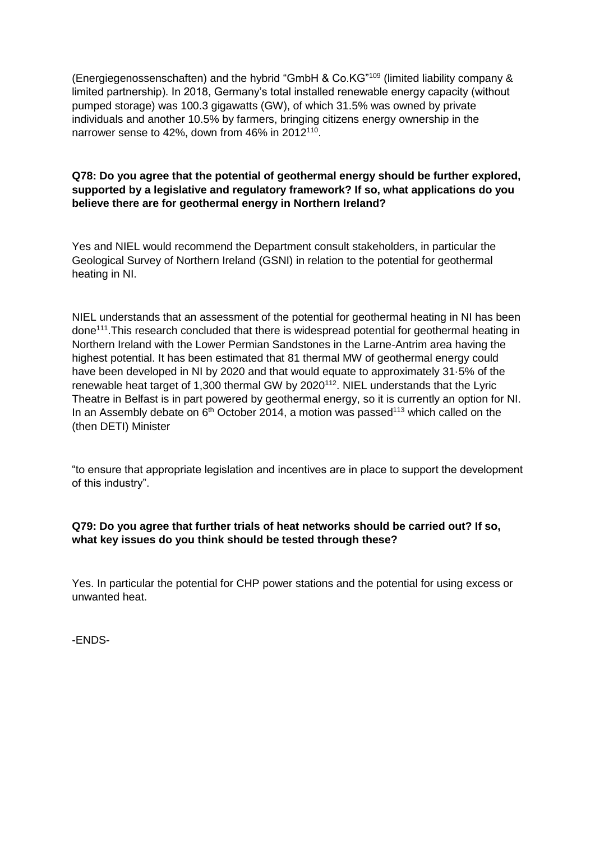(Energiegenossenschaften) and the hybrid "GmbH & Co.KG"<sup>109</sup> (limited liability company & limited partnership). In 2018, Germany's total installed renewable energy capacity (without pumped storage) was 100.3 gigawatts (GW), of which 31.5% was owned by private individuals and another 10.5% by farmers, bringing citizens energy ownership in the narrower sense to 42%, down from 46% in 2012<sup>110</sup>.

# **Q78: Do you agree that the potential of geothermal energy should be further explored, supported by a legislative and regulatory framework? If so, what applications do you believe there are for geothermal energy in Northern Ireland?**

Yes and NIEL would recommend the Department consult stakeholders, in particular the Geological Survey of Northern Ireland (GSNI) in relation to the potential for geothermal heating in NI.

NIEL understands that an assessment of the potential for geothermal heating in NI has been done<sup>111</sup>.This research concluded that there is widespread potential for geothermal heating in Northern Ireland with the Lower Permian Sandstones in the Larne-Antrim area having the highest potential. It has been estimated that 81 thermal MW of geothermal energy could have been developed in NI by 2020 and that would equate to approximately 31·5% of the renewable heat target of 1,300 thermal GW by 2020<sup>112</sup>. NIEL understands that the Lyric Theatre in Belfast is in part powered by geothermal energy, so it is currently an option for NI. In an Assembly debate on  $6<sup>th</sup>$  October 2014, a motion was passed<sup>113</sup> which called on the (then DETI) Minister

"to ensure that appropriate legislation and incentives are in place to support the development of this industry".

#### **Q79: Do you agree that further trials of heat networks should be carried out? If so, what key issues do you think should be tested through these?**

Yes. In particular the potential for CHP power stations and the potential for using excess or unwanted heat.

-ENDS-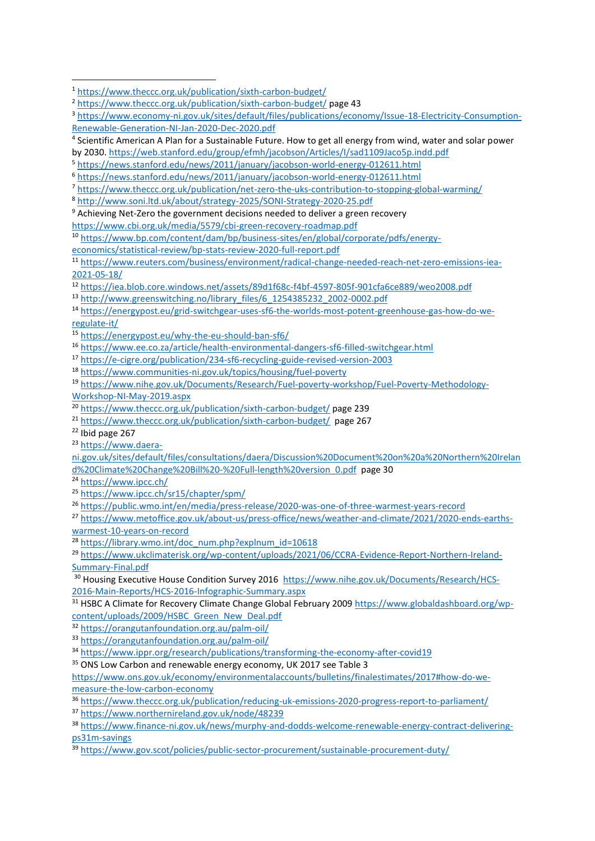- <https://e-cigre.org/publication/234-sf6-recycling-guide-revised-version-2003>
- <https://www.communities-ni.gov.uk/topics/housing/fuel-poverty>

[Workshop-NI-May-2019.aspx](https://www.nihe.gov.uk/Documents/Research/Fuel-poverty-workshop/Fuel-Poverty-Methodology-Workshop-NI-May-2019.aspx)

<https://www.ipcc.ch/>

- <https://www.theccc.org.uk/publication/reducing-uk-emissions-2020-progress-report-to-parliament/>
- <https://www.northernireland.gov.uk/node/48239>

<https://www.theccc.org.uk/publication/sixth-carbon-budget/>

<https://www.theccc.org.uk/publication/sixth-carbon-budget/> page 43

 [https://www.economy-ni.gov.uk/sites/default/files/publications/economy/Issue-18-Electricity-Consumption-](https://www.economy-ni.gov.uk/sites/default/files/publications/economy/Issue-18-Electricity-Consumption-Renewable-Generation-NI-Jan-2020-Dec-2020.pdf)[Renewable-Generation-NI-Jan-2020-Dec-2020.pdf](https://www.economy-ni.gov.uk/sites/default/files/publications/economy/Issue-18-Electricity-Consumption-Renewable-Generation-NI-Jan-2020-Dec-2020.pdf)

 Scientific American A Plan for a Sustainable Future. How to get all energy from wind, water and solar power by 2030.<https://web.stanford.edu/group/efmh/jacobson/Articles/I/sad1109Jaco5p.indd.pdf>

<https://news.stanford.edu/news/2011/january/jacobson-world-energy-012611.html>

<https://news.stanford.edu/news/2011/january/jacobson-world-energy-012611.html>

<https://www.theccc.org.uk/publication/net-zero-the-uks-contribution-to-stopping-global-warming/>

<http://www.soni.ltd.uk/about/strategy-2025/SONI-Strategy-2020-25.pdf>

<sup>&</sup>lt;sup>9</sup> Achieving Net-Zero the government decisions needed to deliver a green recovery

<https://www.cbi.org.uk/media/5579/cbi-green-recovery-roadmap.pdf>

[https://www.bp.com/content/dam/bp/business-sites/en/global/corporate/pdfs/energy-](https://www.bp.com/content/dam/bp/business-sites/en/global/corporate/pdfs/energy-economics/statistical-review/bp-stats-review-2020-full-report.pdf)

[economics/statistical-review/bp-stats-review-2020-full-report.pdf](https://www.bp.com/content/dam/bp/business-sites/en/global/corporate/pdfs/energy-economics/statistical-review/bp-stats-review-2020-full-report.pdf)

 [https://www.reuters.com/business/environment/radical-change-needed-reach-net-zero-emissions-iea-](https://www.reuters.com/business/environment/radical-change-needed-reach-net-zero-emissions-iea-2021-05-18/)[2021-05-18/](https://www.reuters.com/business/environment/radical-change-needed-reach-net-zero-emissions-iea-2021-05-18/)

<https://iea.blob.core.windows.net/assets/89d1f68c-f4bf-4597-805f-901cfa6ce889/weo2008.pdf>

[http://www.greenswitching.no/library\\_files/6\\_1254385232\\_2002-0002.pdf](http://www.greenswitching.no/library_files/6_1254385232_2002-0002.pdf)

 [https://energypost.eu/grid-switchgear-uses-sf6-the-worlds-most-potent-greenhouse-gas-how-do-we](https://energypost.eu/grid-switchgear-uses-sf6-the-worlds-most-potent-greenhouse-gas-how-do-we-regulate-it/)[regulate-it/](https://energypost.eu/grid-switchgear-uses-sf6-the-worlds-most-potent-greenhouse-gas-how-do-we-regulate-it/)

<https://energypost.eu/why-the-eu-should-ban-sf6/>

<https://www.ee.co.za/article/health-environmental-dangers-sf6-filled-switchgear.html>

[https://www.nihe.gov.uk/Documents/Research/Fuel-poverty-workshop/Fuel-Poverty-Methodology-](https://www.nihe.gov.uk/Documents/Research/Fuel-poverty-workshop/Fuel-Poverty-Methodology-Workshop-NI-May-2019.aspx)

<https://www.theccc.org.uk/publication/sixth-carbon-budget/> page 239

<https://www.theccc.org.uk/publication/sixth-carbon-budget/> page 267

Ibid page 267

[https://www.daera-](https://www.daera-ni.gov.uk/sites/default/files/consultations/daera/Discussion%20Document%20on%20a%20Northern%20Ireland%20Climate%20Change%20Bill%20-%20Full-length%20version_0.pdf)

[ni.gov.uk/sites/default/files/consultations/daera/Discussion%20Document%20on%20a%20Northern%20Irelan](https://www.daera-ni.gov.uk/sites/default/files/consultations/daera/Discussion%20Document%20on%20a%20Northern%20Ireland%20Climate%20Change%20Bill%20-%20Full-length%20version_0.pdf) [d%20Climate%20Change%20Bill%20-%20Full-length%20version\\_0.pdf](https://www.daera-ni.gov.uk/sites/default/files/consultations/daera/Discussion%20Document%20on%20a%20Northern%20Ireland%20Climate%20Change%20Bill%20-%20Full-length%20version_0.pdf) page 30

<https://www.ipcc.ch/sr15/chapter/spm/>

<https://public.wmo.int/en/media/press-release/2020-was-one-of-three-warmest-years-record>

 [https://www.metoffice.gov.uk/about-us/press-office/news/weather-and-climate/2021/2020-ends-earths](https://www.metoffice.gov.uk/about-us/press-office/news/weather-and-climate/2021/2020-ends-earths-warmest-10-years-on-record)[warmest-10-years-on-record](https://www.metoffice.gov.uk/about-us/press-office/news/weather-and-climate/2021/2020-ends-earths-warmest-10-years-on-record)

[https://library.wmo.int/doc\\_num.php?explnum\\_id=10618](https://library.wmo.int/doc_num.php?explnum_id=10618)

 [https://www.ukclimaterisk.org/wp-content/uploads/2021/06/CCRA-Evidence-Report-Northern-Ireland-](https://www.ukclimaterisk.org/wp-content/uploads/2021/06/CCRA-Evidence-Report-Northern-Ireland-Summary-Final.pdf)[Summary-Final.pdf](https://www.ukclimaterisk.org/wp-content/uploads/2021/06/CCRA-Evidence-Report-Northern-Ireland-Summary-Final.pdf)

<sup>&</sup>lt;sup>30</sup> Housing Executive House Condition Survey 2016 [https://www.nihe.gov.uk/Documents/Research/HCS-](https://www.nihe.gov.uk/Documents/Research/HCS-2016-Main-Reports/HCS-2016-Infographic-Summary.aspx)[2016-Main-Reports/HCS-2016-Infographic-Summary.aspx](https://www.nihe.gov.uk/Documents/Research/HCS-2016-Main-Reports/HCS-2016-Infographic-Summary.aspx)

 HSBC A Climate for Recovery Climate Change Global February 2009 [https://www.globaldashboard.org/wp](https://www.globaldashboard.org/wp-content/uploads/2009/HSBC_Green_New_Deal.pdf)[content/uploads/2009/HSBC\\_Green\\_New\\_Deal.pdf](https://www.globaldashboard.org/wp-content/uploads/2009/HSBC_Green_New_Deal.pdf)

<https://orangutanfoundation.org.au/palm-oil/>

<https://orangutanfoundation.org.au/palm-oil/>

<https://www.ippr.org/research/publications/transforming-the-economy-after-covid19>

<sup>&</sup>lt;sup>35</sup> ONS Low Carbon and renewable energy economy, UK 2017 see Table 3

[https://www.ons.gov.uk/economy/environmentalaccounts/bulletins/finalestimates/2017#how-do-we](https://www.ons.gov.uk/economy/environmentalaccounts/bulletins/finalestimates/2017#how-do-we-measure-the-low-carbon-economy)[measure-the-low-carbon-economy](https://www.ons.gov.uk/economy/environmentalaccounts/bulletins/finalestimates/2017#how-do-we-measure-the-low-carbon-economy)

 [https://www.finance-ni.gov.uk/news/murphy-and-dodds-welcome-renewable-energy-contract-delivering](https://www.finance-ni.gov.uk/news/murphy-and-dodds-welcome-renewable-energy-contract-delivering-ps31m-savings)[ps31m-savings](https://www.finance-ni.gov.uk/news/murphy-and-dodds-welcome-renewable-energy-contract-delivering-ps31m-savings)

<https://www.gov.scot/policies/public-sector-procurement/sustainable-procurement-duty/>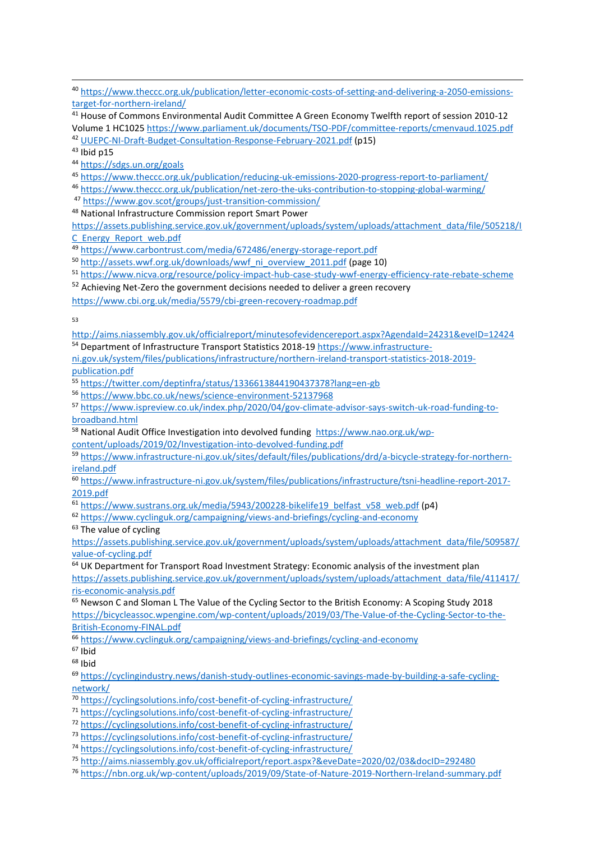[https://www.theccc.org.uk/publication/letter-economic-costs-of-setting-and-delivering-a-2050-emissions](https://www.theccc.org.uk/publication/letter-economic-costs-of-setting-and-delivering-a-2050-emissions-target-for-northern-ireland/)[target-for-northern-ireland/](https://www.theccc.org.uk/publication/letter-economic-costs-of-setting-and-delivering-a-2050-emissions-target-for-northern-ireland/)

 House of Commons Environmental Audit Committee A Green Economy Twelfth report of session 2010-12 Volume 1 HC1025<https://www.parliament.uk/documents/TSO-PDF/committee-reports/cmenvaud.1025.pdf>

[UUEPC-NI-Draft-Budget-Consultation-Response-February-2021.pdf](file:///C:/Users/44770/Desktop/NIEL/PfG/UUEPC-NI-Draft-Budget-Consultation-Response-February-2021.pdf) (p15)

Ibid p15

<https://sdgs.un.org/goals>

<https://www.theccc.org.uk/publication/reducing-uk-emissions-2020-progress-report-to-parliament/>

<https://www.theccc.org.uk/publication/net-zero-the-uks-contribution-to-stopping-global-warming/>

<https://www.gov.scot/groups/just-transition-commission/>

National Infrastructure Commission report Smart Power

[https://assets.publishing.service.gov.uk/government/uploads/system/uploads/attachment\\_data/file/505218/I](https://assets.publishing.service.gov.uk/government/uploads/system/uploads/attachment_data/file/505218/IC_Energy_Report_web.pdf) [C\\_Energy\\_Report\\_web.pdf](https://assets.publishing.service.gov.uk/government/uploads/system/uploads/attachment_data/file/505218/IC_Energy_Report_web.pdf)

<https://www.carbontrust.com/media/672486/energy-storage-report.pdf>

[http://assets.wwf.org.uk/downloads/wwf\\_ni\\_overview\\_2011.pdf](http://assets.wwf.org.uk/downloads/wwf_ni_overview_2011.pdf) (page 10)

<https://www.nicva.org/resource/policy-impact-hub-case-study-wwf-energy-efficiency-rate-rebate-scheme>

Achieving Net-Zero the government decisions needed to deliver a green recovery

<https://www.cbi.org.uk/media/5579/cbi-green-recovery-roadmap.pdf>

<http://aims.niassembly.gov.uk/officialreport/minutesofevidencereport.aspx?AgendaId=24231&eveID=12424> Department of Infrastructure Transport Statistics 2018-19 [https://www.infrastructure-](https://www.infrastructure-ni.gov.uk/system/files/publications/infrastructure/northern-ireland-transport-statistics-2018-2019-publication.pdf)

[ni.gov.uk/system/files/publications/infrastructure/northern-ireland-transport-statistics-2018-2019](https://www.infrastructure-ni.gov.uk/system/files/publications/infrastructure/northern-ireland-transport-statistics-2018-2019-publication.pdf) [publication.pdf](https://www.infrastructure-ni.gov.uk/system/files/publications/infrastructure/northern-ireland-transport-statistics-2018-2019-publication.pdf)

<https://twitter.com/deptinfra/status/1336613844190437378?lang=en-gb>

<https://www.bbc.co.uk/news/science-environment-52137968>

 [https://www.ispreview.co.uk/index.php/2020/04/gov-climate-advisor-says-switch-uk-road-funding-to](https://www.ispreview.co.uk/index.php/2020/04/gov-climate-advisor-says-switch-uk-road-funding-to-broadband.html)[broadband.html](https://www.ispreview.co.uk/index.php/2020/04/gov-climate-advisor-says-switch-uk-road-funding-to-broadband.html)

National Audit Office Investigation into devolved funding [https://www.nao.org.uk/wp-](https://www.nao.org.uk/wp-content/uploads/2019/02/Investigation-into-devolved-funding.pdf)

[content/uploads/2019/02/Investigation-into-devolved-funding.pdf](https://www.nao.org.uk/wp-content/uploads/2019/02/Investigation-into-devolved-funding.pdf)

 [https://www.infrastructure-ni.gov.uk/sites/default/files/publications/drd/a-bicycle-strategy-for-northern](https://www.infrastructure-ni.gov.uk/sites/default/files/publications/drd/a-bicycle-strategy-for-northern-ireland.pdf)[ireland.pdf](https://www.infrastructure-ni.gov.uk/sites/default/files/publications/drd/a-bicycle-strategy-for-northern-ireland.pdf)

 [https://www.infrastructure-ni.gov.uk/system/files/publications/infrastructure/tsni-headline-report-2017-](https://www.infrastructure-ni.gov.uk/system/files/publications/infrastructure/tsni-headline-report-2017-2019.pdf) [2019.pdf](https://www.infrastructure-ni.gov.uk/system/files/publications/infrastructure/tsni-headline-report-2017-2019.pdf)

[https://www.sustrans.org.uk/media/5943/200228-bikelife19\\_belfast\\_v58\\_web.pdf](https://www.sustrans.org.uk/media/5943/200228-bikelife19_belfast_v58_web.pdf) (p4)

<https://www.cyclinguk.org/campaigning/views-and-briefings/cycling-and-economy>

<sup>63</sup> The value of cycling

[https://assets.publishing.service.gov.uk/government/uploads/system/uploads/attachment\\_data/file/509587/](https://assets.publishing.service.gov.uk/government/uploads/system/uploads/attachment_data/file/509587/value-of-cycling.pdf) [value-of-cycling.pdf](https://assets.publishing.service.gov.uk/government/uploads/system/uploads/attachment_data/file/509587/value-of-cycling.pdf)

 UK Department for Transport Road Investment Strategy: Economic analysis of the investment plan [https://assets.publishing.service.gov.uk/government/uploads/system/uploads/attachment\\_data/file/411417/](https://assets.publishing.service.gov.uk/government/uploads/system/uploads/attachment_data/file/411417/ris-economic-analysis.pdf) [ris-economic-analysis.pdf](https://assets.publishing.service.gov.uk/government/uploads/system/uploads/attachment_data/file/411417/ris-economic-analysis.pdf)

 Newson C and Sloman L The Value of the Cycling Sector to the British Economy: A Scoping Study 2018 [https://bicycleassoc.wpengine.com/wp-content/uploads/2019/03/The-Value-of-the-Cycling-Sector-to-the-](https://bicycleassoc.wpengine.com/wp-content/uploads/2019/03/The-Value-of-the-Cycling-Sector-to-the-British-Economy-FINAL.pdf)[British-Economy-FINAL.pdf](https://bicycleassoc.wpengine.com/wp-content/uploads/2019/03/The-Value-of-the-Cycling-Sector-to-the-British-Economy-FINAL.pdf)

<https://www.cyclinguk.org/campaigning/views-and-briefings/cycling-and-economy>

Ibid

Ibid

 [https://cyclingindustry.news/danish-study-outlines-economic-savings-made-by-building-a-safe-cycling](https://cyclingindustry.news/danish-study-outlines-economic-savings-made-by-building-a-safe-cycling-network/)[network/](https://cyclingindustry.news/danish-study-outlines-economic-savings-made-by-building-a-safe-cycling-network/)

<https://cyclingsolutions.info/cost-benefit-of-cycling-infrastructure/>

<https://cyclingsolutions.info/cost-benefit-of-cycling-infrastructure/>

<https://cyclingsolutions.info/cost-benefit-of-cycling-infrastructure/>

<https://cyclingsolutions.info/cost-benefit-of-cycling-infrastructure/>

<https://cyclingsolutions.info/cost-benefit-of-cycling-infrastructure/>

<http://aims.niassembly.gov.uk/officialreport/report.aspx?&eveDate=2020/02/03&docID=292480>

<https://nbn.org.uk/wp-content/uploads/2019/09/State-of-Nature-2019-Northern-Ireland-summary.pdf>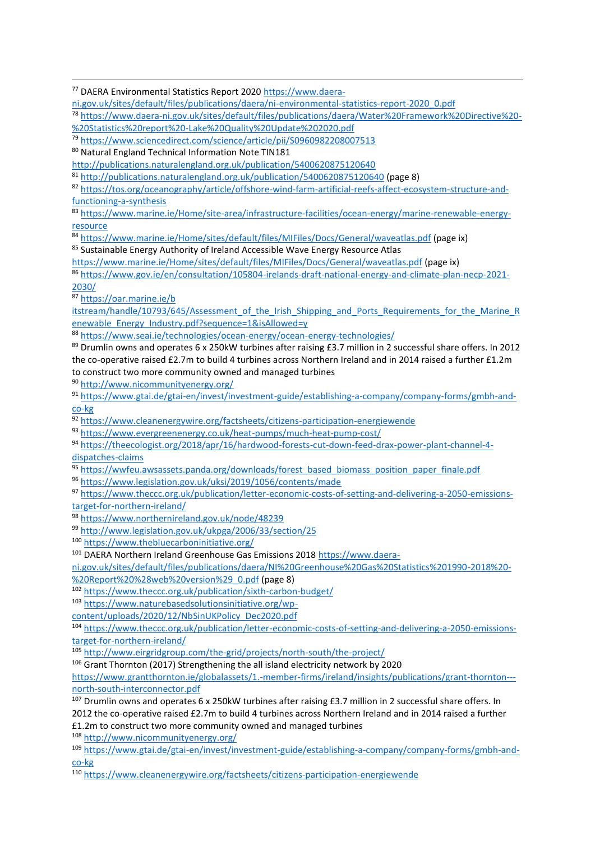<sup>77</sup> DAERA Environmental Statistics Report 2020 [https://www.daera-](https://www.daera-ni.gov.uk/sites/default/files/publications/daera/ni-environmental-statistics-report-2020_0.pdf)

[ni.gov.uk/sites/default/files/publications/daera/ni-environmental-statistics-report-2020\\_0.pdf](https://www.daera-ni.gov.uk/sites/default/files/publications/daera/ni-environmental-statistics-report-2020_0.pdf)

<sup>78</sup> [https://www.daera-ni.gov.uk/sites/default/files/publications/daera/Water%20Framework%20Directive%20-](https://www.daera-ni.gov.uk/sites/default/files/publications/daera/Water%20Framework%20Directive%20-%20Statistics%20report%20-Lake%20Quality%20Update%202020.pdf) [%20Statistics%20report%20-Lake%20Quality%20Update%202020.pdf](https://www.daera-ni.gov.uk/sites/default/files/publications/daera/Water%20Framework%20Directive%20-%20Statistics%20report%20-Lake%20Quality%20Update%202020.pdf)

79 <https://www.sciencedirect.com/science/article/pii/S0960982208007513>

80 Natural England Technical Information Note TIN181

<http://publications.naturalengland.org.uk/publication/5400620875120640>

<sup>81</sup> <http://publications.naturalengland.org.uk/publication/5400620875120640> (page 8)

82 [https://tos.org/oceanography/article/offshore-wind-farm-artificial-reefs-affect-ecosystem-structure-and](https://tos.org/oceanography/article/offshore-wind-farm-artificial-reefs-affect-ecosystem-structure-and-functioning-a-synthesis)[functioning-a-synthesis](https://tos.org/oceanography/article/offshore-wind-farm-artificial-reefs-affect-ecosystem-structure-and-functioning-a-synthesis)

<sup>83</sup> [https://www.marine.ie/Home/site-area/infrastructure-facilities/ocean-energy/marine-renewable-energy](https://www.marine.ie/Home/site-area/infrastructure-facilities/ocean-energy/marine-renewable-energy-resource)[resource](https://www.marine.ie/Home/site-area/infrastructure-facilities/ocean-energy/marine-renewable-energy-resource)

<sup>84</sup> <https://www.marine.ie/Home/sites/default/files/MIFiles/Docs/General/waveatlas.pdf> (page ix)

85 Sustainable Energy Authority of Ireland Accessible Wave Energy Resource Atlas

<https://www.marine.ie/Home/sites/default/files/MIFiles/Docs/General/waveatlas.pdf> (page ix)

<sup>86</sup> [https://www.gov.ie/en/consultation/105804-irelands-draft-national-energy-and-climate-plan-necp-2021-](https://www.gov.ie/en/consultation/105804-irelands-draft-national-energy-and-climate-plan-necp-2021-2030/) [2030/](https://www.gov.ie/en/consultation/105804-irelands-draft-national-energy-and-climate-plan-necp-2021-2030/)

<sup>87</sup> [https://oar.marine.ie/b](https://oar.marine.ie/b%20%20itstream/handle/10793/645/Assessment_of_the_Irish_Shipping_and_Ports_Requirements_for_the_Marine_Renewable_Energy_Industry.pdf?sequence=1&isAllowed=y) 

1

itstream/handle/10793/645/Assessment of the Irish Shipping and Ports Requirements for the Marine R [enewable\\_Energy\\_Industry.pdf?sequence=1&isAllowed=y](https://oar.marine.ie/b%20%20itstream/handle/10793/645/Assessment_of_the_Irish_Shipping_and_Ports_Requirements_for_the_Marine_Renewable_Energy_Industry.pdf?sequence=1&isAllowed=y)

<sup>88</sup> <https://www.seai.ie/technologies/ocean-energy/ocean-energy-technologies/>

<sup>89</sup> Drumlin owns and operates 6 x 250kW turbines after raising £3.7 million in 2 successful share offers. In 2012 the co-operative raised £2.7m to build 4 turbines across Northern Ireland and in 2014 raised a further £1.2m to construct two more community owned and managed turbines

<sup>90</sup> <http://www.nicommunityenergy.org/>

<sup>91</sup> [https://www.gtai.de/gtai-en/invest/investment-guide/establishing-a-company/company-forms/gmbh-and](https://www.gtai.de/gtai-en/invest/investment-guide/establishing-a-company/company-forms/gmbh-and-co-kg)[co-kg](https://www.gtai.de/gtai-en/invest/investment-guide/establishing-a-company/company-forms/gmbh-and-co-kg)

<sup>92</sup> <https://www.cleanenergywire.org/factsheets/citizens-participation-energiewende>

<sup>93</sup> <https://www.evergreenenergy.co.uk/heat-pumps/much-heat-pump-cost/>

94 [https://theecologist.org/2018/apr/16/hardwood-forests-cut-down-feed-drax-power-plant-channel-4](https://theecologist.org/2018/apr/16/hardwood-forests-cut-down-feed-drax-power-plant-channel-4-dispatches-claims) [dispatches-claims](https://theecologist.org/2018/apr/16/hardwood-forests-cut-down-feed-drax-power-plant-channel-4-dispatches-claims)

95 [https://wwfeu.awsassets.panda.org/downloads/forest\\_based\\_biomass\\_position\\_paper\\_finale.pdf](https://wwfeu.awsassets.panda.org/downloads/forest_based_biomass_position_paper_finale.pdf)

<sup>96</sup> <https://www.legislation.gov.uk/uksi/2019/1056/contents/made>

<sup>97</sup> [https://www.theccc.org.uk/publication/letter-economic-costs-of-setting-and-delivering-a-2050-emissions](https://www.theccc.org.uk/publication/letter-economic-costs-of-setting-and-delivering-a-2050-emissions-target-for-northern-ireland/)[target-for-northern-ireland/](https://www.theccc.org.uk/publication/letter-economic-costs-of-setting-and-delivering-a-2050-emissions-target-for-northern-ireland/)

<sup>98</sup> <https://www.northernireland.gov.uk/node/48239>

<sup>99</sup> <http://www.legislation.gov.uk/ukpga/2006/33/section/25>

<sup>100</sup> <https://www.thebluecarboninitiative.org/>

<sup>101</sup> DAERA Northern Ireland Greenhouse Gas Emissions 2018 [https://www.daera-](https://www.daera-ni.gov.uk/sites/default/files/publications/daera/NI%20Greenhouse%20Gas%20Statistics%201990-2018%20-%20Report%20%28web%20version%29_0.pdf)

[ni.gov.uk/sites/default/files/publications/daera/NI%20Greenhouse%20Gas%20Statistics%201990-2018%20-](https://www.daera-ni.gov.uk/sites/default/files/publications/daera/NI%20Greenhouse%20Gas%20Statistics%201990-2018%20-%20Report%20%28web%20version%29_0.pdf) [%20Report%20%28web%20version%29\\_0.pdf](https://www.daera-ni.gov.uk/sites/default/files/publications/daera/NI%20Greenhouse%20Gas%20Statistics%201990-2018%20-%20Report%20%28web%20version%29_0.pdf) (page 8)

<sup>102</sup> <https://www.theccc.org.uk/publication/sixth-carbon-budget/>

<sup>103</sup> [https://www.naturebasedsolutionsinitiative.org/wp-](https://www.naturebasedsolutionsinitiative.org/wp-content/uploads/2020/12/NbSinUKPolicy_Dec2020.pdf)

[content/uploads/2020/12/NbSinUKPolicy\\_Dec2020.pdf](https://www.naturebasedsolutionsinitiative.org/wp-content/uploads/2020/12/NbSinUKPolicy_Dec2020.pdf)

<sup>104</sup> [https://www.theccc.org.uk/publication/letter-economic-costs-of-setting-and-delivering-a-2050-emissions](https://www.theccc.org.uk/publication/letter-economic-costs-of-setting-and-delivering-a-2050-emissions-target-for-northern-ireland/)[target-for-northern-ireland/](https://www.theccc.org.uk/publication/letter-economic-costs-of-setting-and-delivering-a-2050-emissions-target-for-northern-ireland/)

105 <http://www.eirgridgroup.com/the-grid/projects/north-south/the-project/>

<sup>106</sup> Grant Thornton (2017) Strengthening the all island electricity network by 2020

[https://www.grantthornton.ie/globalassets/1.-member-firms/ireland/insights/publications/grant-thornton--](https://www.grantthornton.ie/globalassets/1.-member-firms/ireland/insights/publications/grant-thornton---north-south-interconnector.pdf) [north-south-interconnector.pdf](https://www.grantthornton.ie/globalassets/1.-member-firms/ireland/insights/publications/grant-thornton---north-south-interconnector.pdf)

<sup>107</sup> Drumlin owns and operates 6 x 250kW turbines after raising £3.7 million in 2 successful share offers. In 2012 the co-operative raised £2.7m to build 4 turbines across Northern Ireland and in 2014 raised a further £1.2m to construct two more community owned and managed turbines

<sup>108</sup> <http://www.nicommunityenergy.org/>

<sup>109</sup> [https://www.gtai.de/gtai-en/invest/investment-guide/establishing-a-company/company-forms/gmbh-and](https://www.gtai.de/gtai-en/invest/investment-guide/establishing-a-company/company-forms/gmbh-and-co-kg)[co-kg](https://www.gtai.de/gtai-en/invest/investment-guide/establishing-a-company/company-forms/gmbh-and-co-kg)

<sup>110</sup> <https://www.cleanenergywire.org/factsheets/citizens-participation-energiewende>